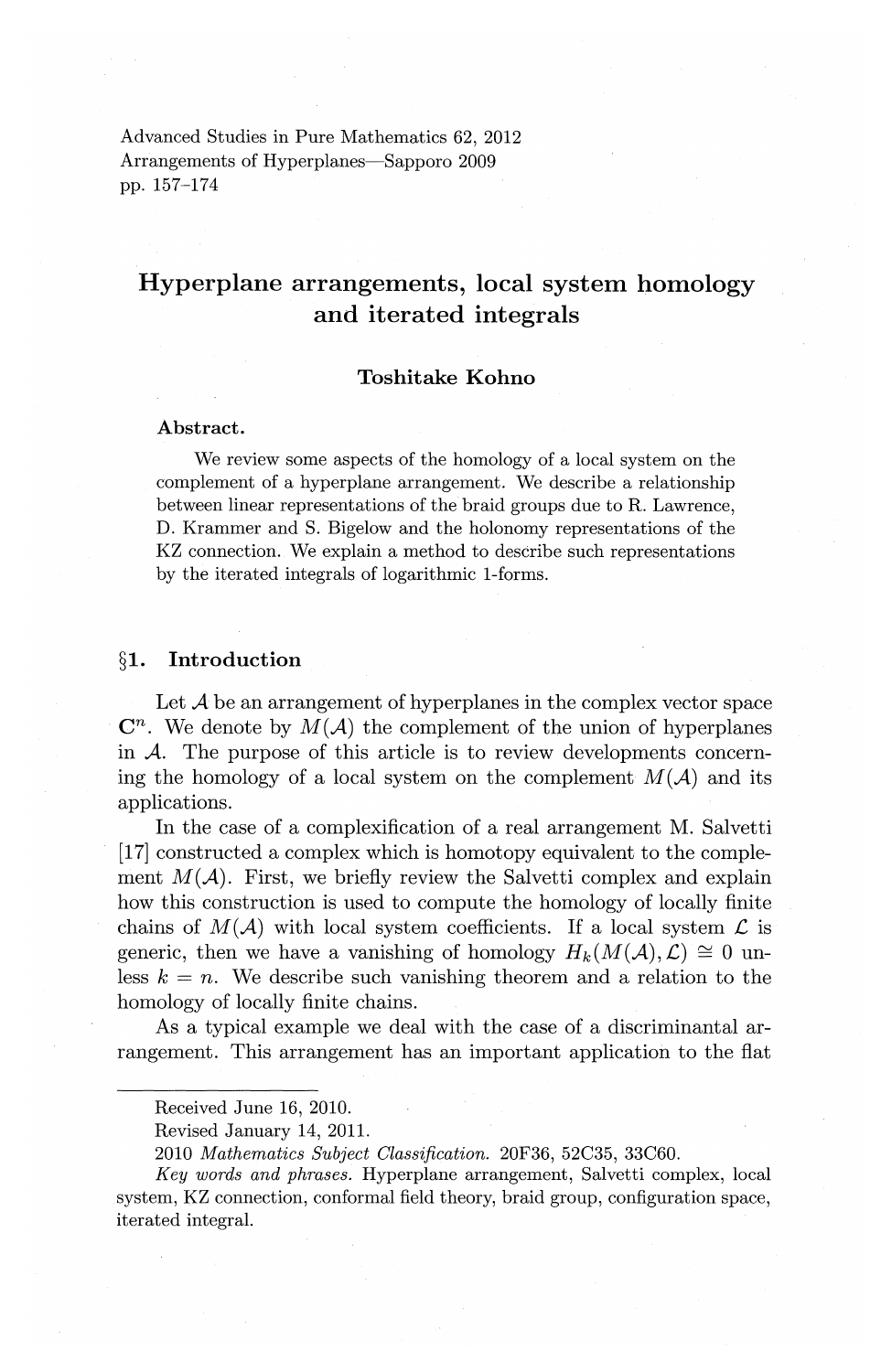Advanced Studies in Pure Mathematics 62, 2012 Arrangements of Hyperplanes—Sapporo 2009 pp. 157-174

# Hyperplane arrangements, local system homology and iterated integrals

## Toshitake Kohno

#### Abstract.

We review some aspects of the homology of a local system on the complement of a hyperplane arrangement. We describe a relationship between linear representations of the braid groups due to R. Lawrence, D. Krammer and S. Bigelow and the holonomy representations of the KZ connection. We explain a method to describe such representations by the iterated integrals of logarithmic 1-forms.

#### §1. Introduction

Let  $A$  be an arrangement of hyperplanes in the complex vector space  $\mathbb{C}^n$ . We denote by  $M(\mathcal{A})$  the complement of the union of hyperplanes in *A.* The purpose of this article is to review developments concerning the homology of a local system on the complement  $M(A)$  and its applications.

In the case of a complexification of a real arrangement M. Salvetti [17] constructed a complex which is homotopy equivalent to the complement  $M(A)$ . First, we briefly review the Salvetti complex and explain how this construction is used to compute the homology of locally finite chains of  $M(\mathcal{A})$  with local system coefficients. If a local system  $\mathcal L$  is generic, then we have a vanishing of homology  $H_k(M(\mathcal{A}), \mathcal{L}) \cong 0$  unless  $k = n$ . We describe such vanishing theorem and a relation to the homology of locally finite chains.

As a typical example we deal with the case of a discriminantal arrangement. This arrangement has an important application to the flat

Received June 16, 2010.

Revised January 14, 2011.

<sup>2010</sup> *Mathematics Subject Classification.* 20F36, 52C35, 33C60.

*Key words and phrases.* Hyperplane arrangement, Salvetti complex, local system, KZ connection, conformal field theory, braid group, configuration space, iterated integral.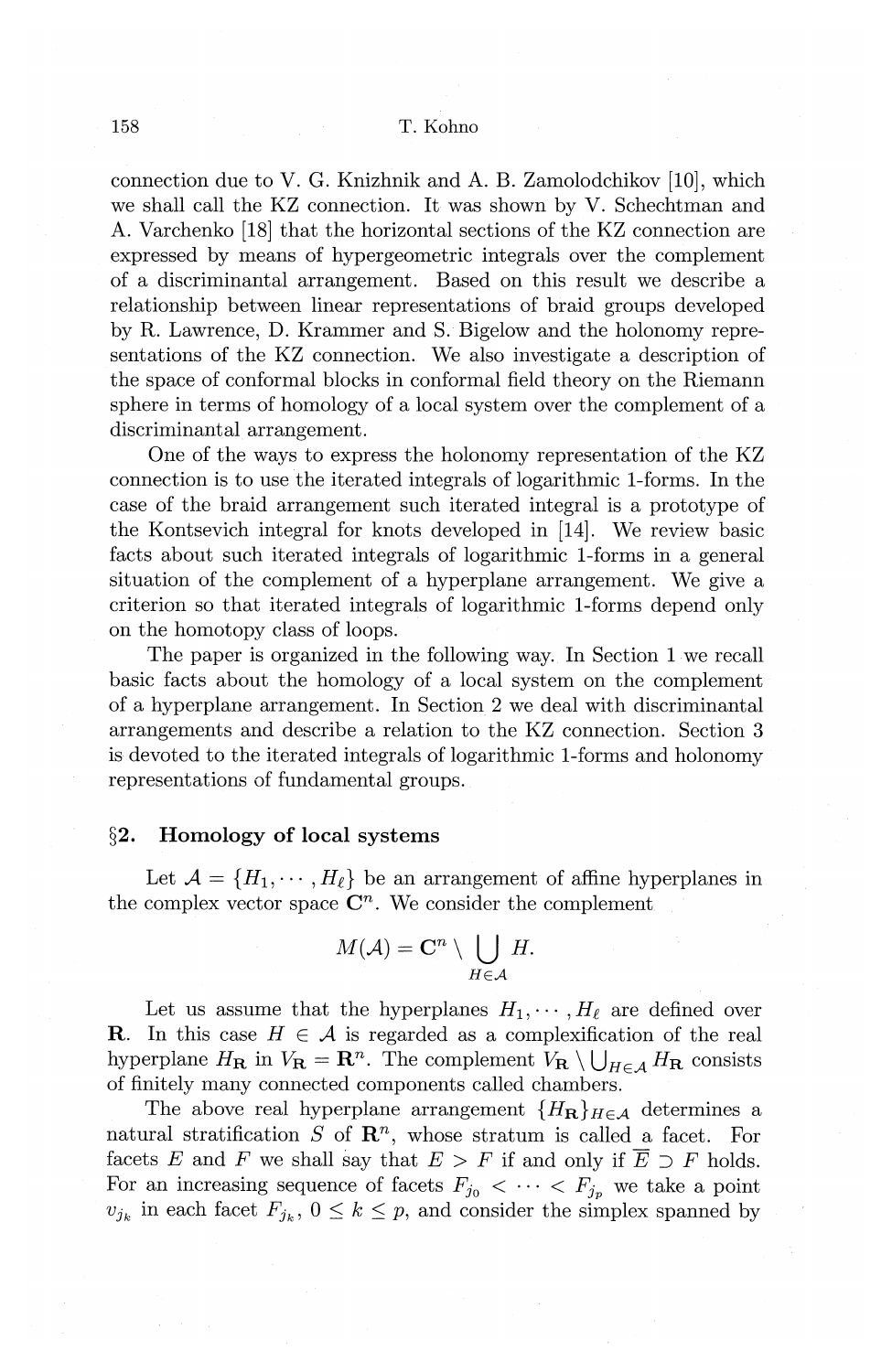connection due to V. G. Knizhnik and A. B. Zamolodchikov [10], which we shall call the KZ connection. It was shown by V. Schechtman and A. Varchenko [18] that the horizontal sections of the KZ connection are expressed by means of hypergeometric integrals over the complement of a discriminantal arrangement. Based on this result we describe a relationship between linear representations of braid groups developed by R. Lawrence, D. Krammer and S. Bigelow and the holonomy representations of the KZ connection. We also investigate a description of the space of conformal blocks in conformal field theory on the Riemann sphere in terms of homology of a local system over the complement of a discriminantal arrangement.

One of the ways to express the holonomy representation of the KZ connection is to use the iterated integrals of logarithmic 1-forms. In the case of the braid arrangement such iterated integral is a prototype of the Kontsevich integral for knots developed in [14]. We review basic facts about such iterated integrals of logarithmic 1-forms in a general situation of the complement of a hyperplane arrangement. We give a criterion so that iterated integrals of logarithmic 1-forms depend only on the homotopy class of loops.

The paper is organized in the following way. In Section 1 we recall basic facts about the homology of a local system on the complement of a hyperplane arrangement. In Section 2 we deal with discriminantal arrangements and describe a relation to the KZ connection. Section 3 is devoted to the iterated integrals of logarithmic 1-forms and holonomy representations of fundamental groups.

## **§2. Homology of local** systems

Let  $\mathcal{A} = \{H_1, \cdots, H_\ell\}$  be an arrangement of affine hyperplanes in the complex vector space  $\mathbb{C}^n$ . We consider the complement

$$
M(\mathcal{A})=\mathbf{C}^n\setminus \bigcup_{H\in\mathcal{A}}H.
$$

Let us assume that the hyperplanes  $H_1, \cdots, H_\ell$  are defined over **R**. In this case  $H \in \mathcal{A}$  is regarded as a complexification of the real hyperplane  $H_{\mathbf{R}}$  in  $V_{\mathbf{R}} = \mathbf{R}^n$ . The complement  $V_{\mathbf{R}} \setminus \bigcup_{H \in A} H_{\mathbf{R}}$  consists of finitely many connected components called chambers.

The above real hyperplane arrangement  ${H_{\bf R}}_{H \in \mathcal{A}}$  determines a natural stratification *S* of  $\mathbb{R}^n$ , whose stratum is called a facet. For facets E and F we shall say that  $E > F$  if and only if  $\overline{E} \supset F$  holds. For an increasing sequence of facets  $F_{j_0} < \cdots < F_{j_p}$  we take a point  $v_{j_k}$  in each facet  $F_{j_k}$ ,  $0 \leq k \leq p$ , and consider the simplex spanned by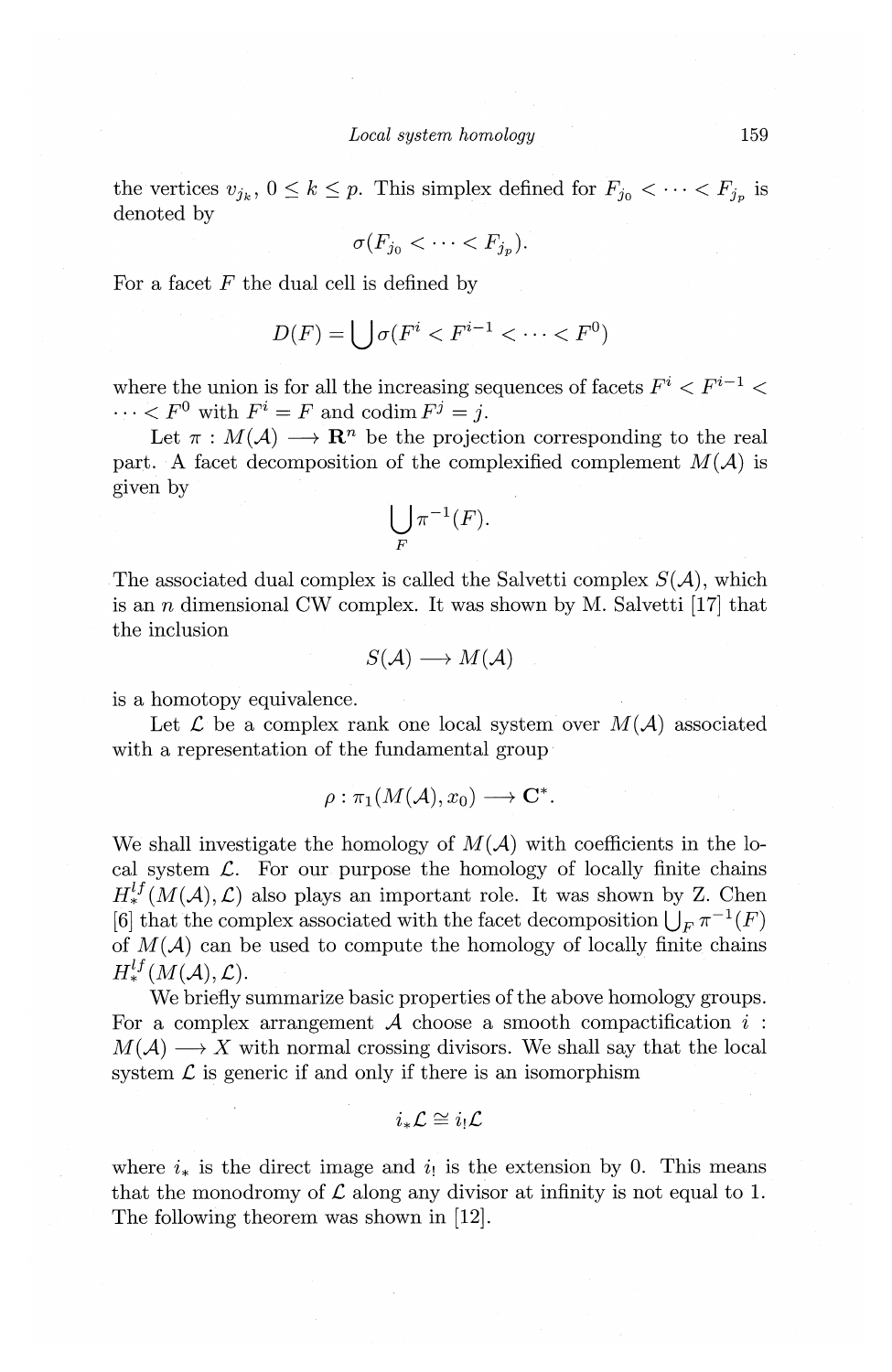the vertices  $v_{j_k}$ ,  $0 \leq k \leq p$ . This simplex defined for  $F_{j_0} < \cdots < F_{j_p}$  is denoted by

$$
\sigma(F_{j_0} < \cdots < F_{j_p}).
$$

For a facet  $F$  the dual cell is defined by

$$
D(F) = \bigcup \sigma(F^i < F^{i-1} < \dots < F^0)
$$

where the union is for all the increasing sequences of facets  $F^i < F^{i-1}$   $<$  $\cdots < F^0$  with  $F^i = F$  and codim  $F^j = j$ .

Let  $\pi : M(\mathcal{A}) \longrightarrow \mathbb{R}^n$  be the projection corresponding to the real part. A facet decomposition of the complexified complement  $M(\mathcal{A})$  is given by

$$
\bigcup_{F} \pi^{-1}(F).
$$

The associated dual complex is called the Salvetti complex  $S(\mathcal{A})$ , which is an *n* dimensional CW complex. It was shown by M. Salvetti [17] that the inclusion

$$
S(\mathcal{A}) \longrightarrow M(\mathcal{A})
$$

is a homotopy equivalence.

Let  $\mathcal L$  be a complex rank one local system over  $M(\mathcal A)$  associated with a representation of the fundamental group

$$
\rho: \pi_1(M(\mathcal{A}), x_0) \longrightarrow \mathbf{C}^*.
$$

We shall investigate the homology of  $M(A)$  with coefficients in the local system  $\mathcal{L}$ . For our purpose the homology of locally finite chains  $H_*^{lf}(M(\mathcal{A}), \mathcal{L})$  also plays an important role. It was shown by Z. Chen [6] that the complex associated with the facet decomposition  $\bigcup_{F} \pi^{-1}(F)$ of  $M(\mathcal{A})$  can be used to compute the homology of locally finite chains  $H_*^{lf}(M(\mathcal{A}), \mathcal{L}).$ 

We briefly summarize basic properties of the above homology groups. For a complex arrangement  $A$  choose a smooth compactification  $i$ :  $M(\mathcal{A}) \longrightarrow X$  with normal crossing divisors. We shall say that the local system  $\mathcal L$  is generic if and only if there is an isomorphism

$$
i_*\mathcal{L} \cong i_!\mathcal{L}
$$

where  $i_*$  is the direct image and  $i_!$  is the extension by 0. This means that the monodromy of  $\mathcal L$  along any divisor at infinity is not equal to 1. The following theorem was shown in [12].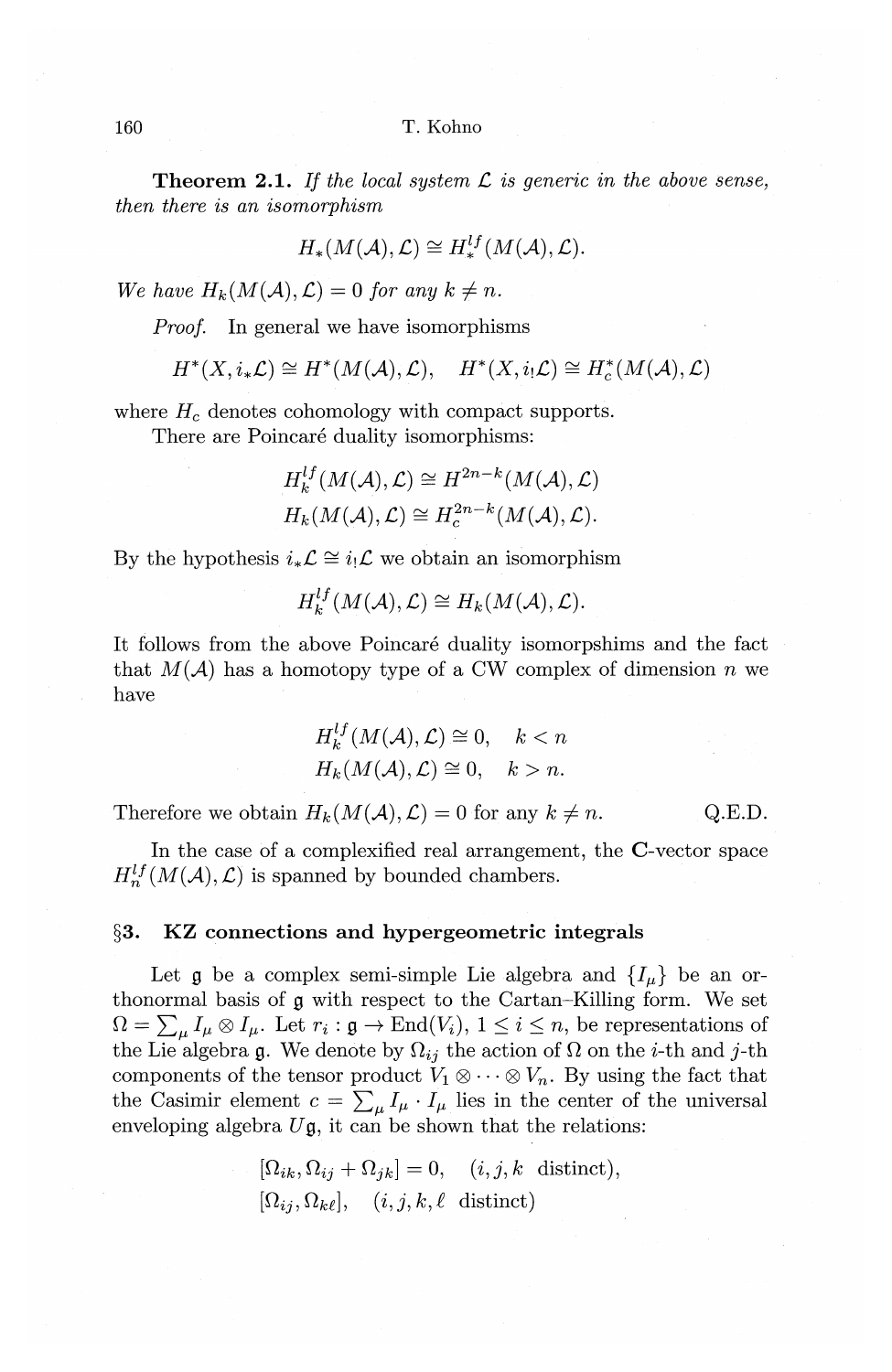**Theorem 2.1.** If the local system  $\mathcal{L}$  is generic in the above sense, *then there is an isomorphism* 

$$
H_*(M(\mathcal{A}), \mathcal{L}) \cong H_*^{lf}(M(\mathcal{A}), \mathcal{L}).
$$

*We have*  $H_k(M(\mathcal{A}), \mathcal{L}) = 0$  *for any k*  $\neq n$ *.* 

*Proof.* In general we have isomorphisms

$$
H^*(X,i_*\mathcal{L}) \cong H^*(M(\mathcal{A}),\mathcal{L}), \quad H^*(X,i_!\mathcal{L}) \cong H^*_c(M(\mathcal{A}),\mathcal{L})
$$

where  $H_c$  denotes cohomology with compact supports.

There are Poincaré duality isomorphisms:

$$
H_k^{lf}(M(\mathcal{A}), \mathcal{L}) \cong H^{2n-k}(M(\mathcal{A}), \mathcal{L})
$$
  

$$
H_k(M(\mathcal{A}), \mathcal{L}) \cong H^{2n-k}(M(\mathcal{A}), \mathcal{L}).
$$

By the hypothesis  $i_*\mathcal{L} \cong i_!\mathcal{L}$  we obtain an isomorphism

$$
H_{\mathbf{k}}^{l}(\mathbf{M}(\mathcal{A}),\mathcal{L})\cong H_{\mathbf{k}}(\mathbf{M}(\mathcal{A}),\mathcal{L}).
$$

It follows from the above Poincaré duality isomorpshims and the fact that  $M(A)$  has a homotopy type of a CW complex of dimension *n* we have

$$
H_k^{lf}(M(\mathcal{A}), \mathcal{L}) \cong 0, \quad k < n
$$
\n
$$
H_k(M(\mathcal{A}), \mathcal{L}) \cong 0, \quad k > n.
$$

Therefore we obtain  $H_k(M(\mathcal{A}), \mathcal{L}) = 0$  for any  $k \neq n$ . Q.E.D.

In the case of a complexified real arrangement, the C-vector space  $H_n^{lf}(M(\mathcal{A}), \mathcal{L})$  is spanned by bounded chambers.

#### **§3. KZ connections and hypergeometric integrals**

Let  $\mathfrak g$  be a complex semi-simple Lie algebra and  $\{I_\mu\}$  be an orthonormal basis of **g** with respect to the Cartan-Killing form. We set  $\Omega = \sum_{\mu} I_{\mu} \otimes I_{\mu}$ . Let  $r_i : \mathfrak{g} \to \text{End}(V_i)$ ,  $1 \leq i \leq n$ , be representations of the Lie algebra g. We denote by  $\Omega_{ij}$  the action of  $\Omega$  on the *i*-th and *j*-th components of the tensor product  $V_1 \otimes \cdots \otimes V_n$ . By using the fact that the Casimir element  $c = \sum_{\mu} I_{\mu} \cdot I_{\mu}$  lies in the center of the universal enveloping algebra  $U\mathfrak{g}$ , it can be shown that the relations:

$$
[\Omega_{ik}, \Omega_{ij} + \Omega_{jk}] = 0, \quad (i, j, k \text{ distinct}),
$$
  

$$
[\Omega_{ij}, \Omega_{k\ell}], \quad (i, j, k, \ell \text{ distinct})
$$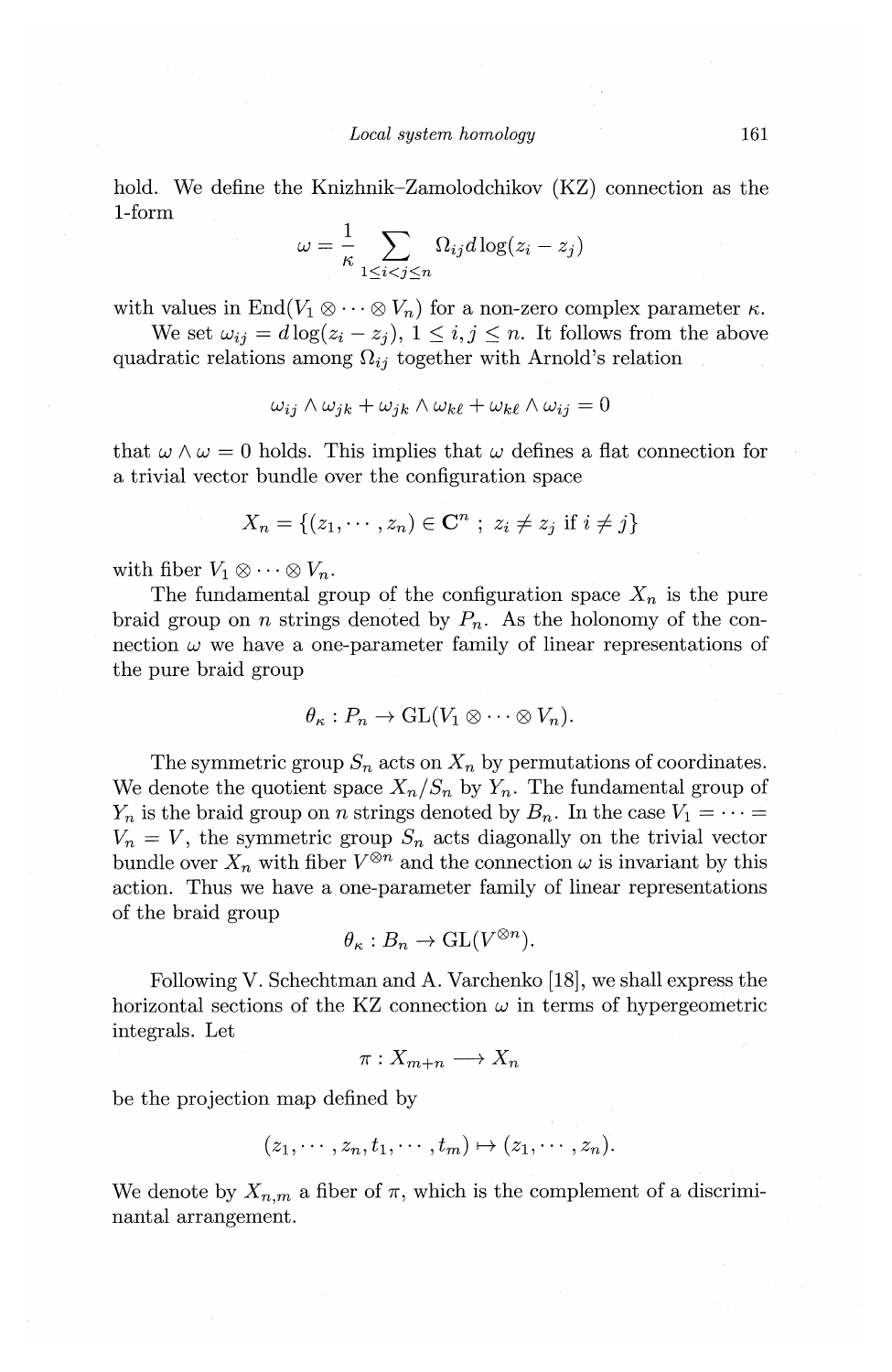hold. We define the Knizhnik-Zamolodchikov (KZ) connection as the 1-form

$$
\omega = \frac{1}{\kappa} \sum_{1 \leq i < j \leq n} \Omega_{ij} d \log(z_i - z_j)
$$

with values in  $\text{End}(V_1 \otimes \cdots \otimes V_n)$  for a non-zero complex parameter  $\kappa$ .

We set  $\omega_{ij} = d \log(z_i - z_j), 1 \leq i, j \leq n$ . It follows from the above quadratic relations among  $\Omega_{ij}$  together with Arnold's relation

$$
\omega_{ij} \wedge \omega_{jk} + \omega_{jk} \wedge \omega_{k\ell} + \omega_{k\ell} \wedge \omega_{ij} = 0
$$

that  $\omega \wedge \omega = 0$  holds. This implies that  $\omega$  defines a flat connection for a trivial vector bundle over the configuration space

$$
X_n = \{(z_1, \dots, z_n) \in \mathbb{C}^n ; z_i \neq z_j \text{ if } i \neq j\}
$$

with fiber  $V_1 \otimes \cdots \otimes V_n$ .

The fundamental group of the configuration space  $X_n$  is the pure braid group on *n* strings denoted by  $P_n$ . As the holonomy of the connection  $\omega$  we have a one-parameter family of linear representations of the pure braid group

$$
\theta_{\kappa}: P_n \to GL(V_1 \otimes \cdots \otimes V_n).
$$

The symmetric group  $S_n$  acts on  $X_n$  by permutations of coordinates. We denote the quotient space  $X_n/S_n$  by  $Y_n$ . The fundamental group of  $Y_n$  is the braid group on *n* strings denoted by  $B_n$ . In the case  $V_1 = \cdots =$  $V_n = V$ , the symmetric group  $S_n$  acts diagonally on the trivial vector bundle over  $X_n$  with fiber  $V^{\otimes n}$  and the connection  $\omega$  is invariant by this action. Thus we have a one-parameter family of linear representations of the braid group

$$
\theta_{\kappa}: B_n \to \mathrm{GL}(V^{\otimes n}).
$$

Following V. Schechtman and A. Varchenko [18], we shall express the horizontal sections of the KZ connection  $\omega$  in terms of hypergeometric integrals. Let

$$
\pi: X_{m+n} \longrightarrow X_n
$$

be the projection map defined by

$$
(z_1,\dots, z_n, t_1,\dots, t_m) \mapsto (z_1,\dots, z_n).
$$

We denote by  $X_{n,m}$  a fiber of  $\pi$ , which is the complement of a discriminantal arrangement.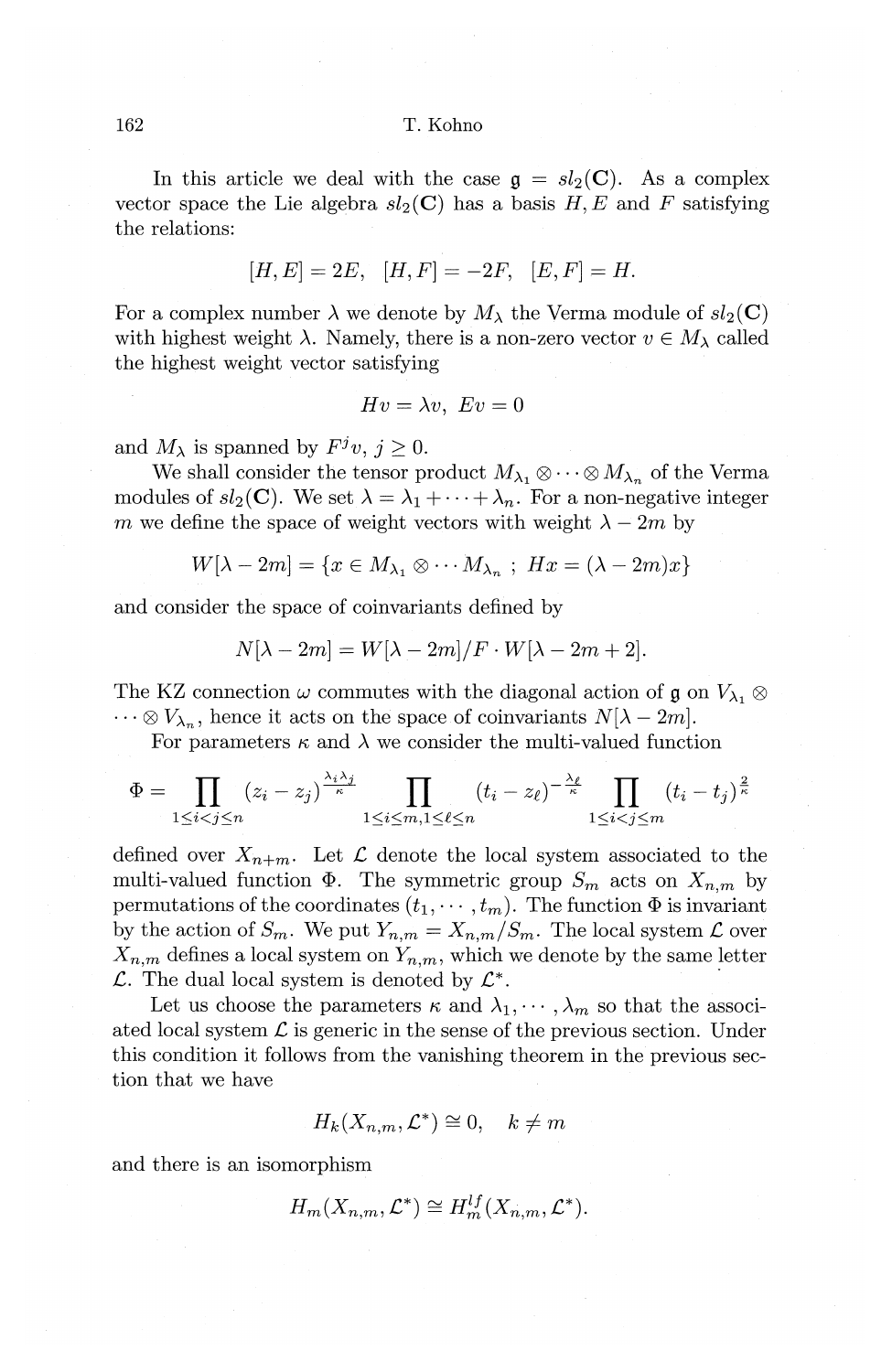In this article we deal with the case  $g = sl_2(C)$ . As a complex vector space the Lie algebra  $sl_2(\mathbf{C})$  has a basis  $H, E$  and  $F$  satisfying the relations:

$$
[H, E] = 2E, [H, F] = -2F, [E, F] = H.
$$

For a complex number  $\lambda$  we denote by  $M_{\lambda}$  the Verma module of  $sl_2(\mathbf{C})$ with highest weight  $\lambda$ . Namely, there is a non-zero vector  $v \in M_{\lambda}$  called the highest weight vector satisfying

$$
Hv=\lambda v, \ Ev=0
$$

and  $M_{\lambda}$  is spanned by  $F^{j}v, j \geq 0$ .

We shall consider the tensor product  $M_{\lambda_1} \otimes \cdots \otimes M_{\lambda_n}$  of the Verma modules of  $sl_2(\mathbf{C})$ . We set  $\lambda = \lambda_1 + \cdots + \lambda_n$ . For a non-negative integer *m* we define the space of weight vectors with weight  $\lambda - 2m$  by

 $W[\lambda - 2m] = \{x \in M_{\lambda_1} \otimes \cdots M_{\lambda_n} ; Hx = (\lambda - 2m)x\}$ 

and consider the space of coinvariants defined by

$$
N[\lambda - 2m] = W[\lambda - 2m]/F \cdot W[\lambda - 2m + 2].
$$

The KZ connection  $\omega$  commutes with the diagonal action of g on  $V_{\lambda_1} \otimes$  $\cdots \otimes V_{\lambda_n}$ , hence it acts on the space of coinvariants  $N[\lambda - 2m]$ .

For parameters  $\kappa$  and  $\lambda$  we consider the multi-valued function

$$
\Phi = \prod_{1 \leq i < j \leq n} (z_i - z_j)^{\frac{\lambda_i \lambda_j}{\kappa}} \prod_{1 \leq i \leq m, 1 \leq \ell \leq n} (t_i - z_\ell)^{-\frac{\lambda_\ell}{\kappa}} \prod_{1 \leq i < j \leq m} (t_i - t_j)^{\frac{2}{\kappa}}
$$

defined over  $X_{n+m}$ . Let  $\mathcal L$  denote the local system associated to the multi-valued function  $\Phi$ . The symmetric group  $S_m$  acts on  $X_{n,m}$  by permutations of the coordinates  $(t_1, \dots, t_m)$ . The function  $\Phi$  is invariant by the action of  $S_m$ . We put  $Y_{n,m} = X_{n,m}/S_m$ . The local system  $\mathcal L$  over  $X_{n,m}$  defines a local system on  $Y_{n,m}$ , which we denote by the same letter  $\mathcal{L}$ . The dual local system is denoted by  $\mathcal{L}^*$ .

Let us choose the parameters  $\kappa$  and  $\lambda_1, \dots, \lambda_m$  so that the associated local system  $\mathcal L$  is generic in the sense of the previous section. Under this condition it follows from the vanishing theorem in the previous section that we have

$$
H_k(X_{n,m}, \mathcal{L}^*) \cong 0, \quad k \neq m
$$

and there is an isomorphism

$$
H_m(X_{n,m}, \mathcal{L}^*) \cong H_m^{lf}(X_{n,m}, \mathcal{L}^*).
$$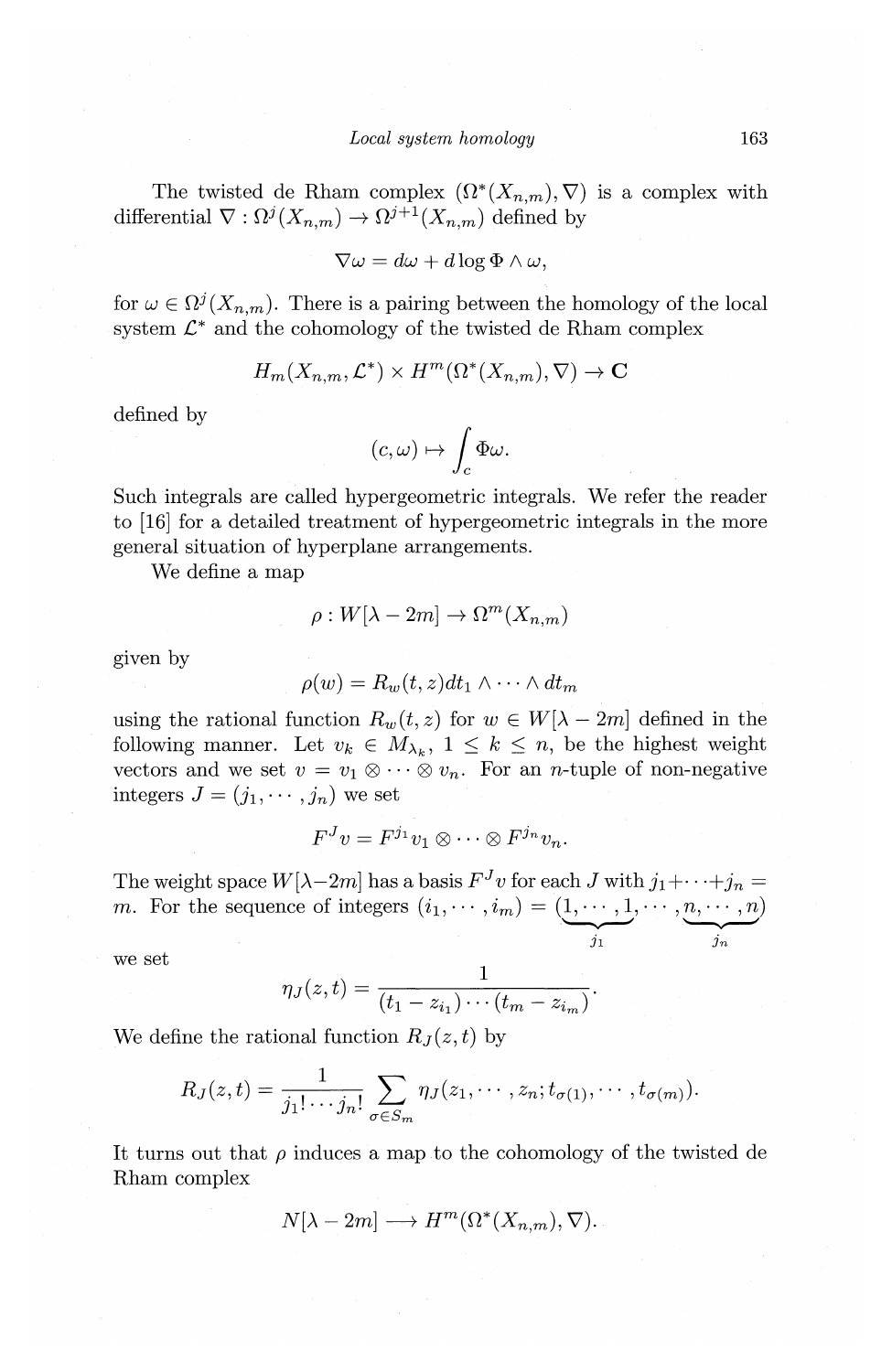The twisted de Rham complex  $(\Omega^*(X_{n,m}), \nabla)$  is a complex with differential  $\nabla : \Omega^{j}(X_{n,m}) \to \Omega^{j+1}(X_{n,m})$  defined by

$$
\nabla \omega = d\omega + d\log \Phi \wedge \omega,
$$

for  $\omega \in \Omega^{j}(X_{n,m})$ . There is a pairing between the homology of the local system  $\mathcal{L}^*$  and the cohomology of the twisted de Rham complex

$$
H_m(X_{n,m}, \mathcal{L}^*) \times H^m(\Omega^*(X_{n,m}), \nabla) \to \mathbf{C}
$$

defined by

$$
(c,\omega)\mapsto \int_c \Phi\omega.
$$

Such integrals are called hypergeometric integrals. We refer the reader to [16] for a detailed treatment of hypergeometric integrals in the more general situation of hyperplane arrangements.

We define a map

$$
\rho: W[\lambda - 2m] \to \Omega^m(X_{n,m})
$$

given by

$$
\rho(w) = R_w(t, z) dt_1 \wedge \cdots \wedge dt_m
$$

using the rational function  $R_w(t, z)$  for  $w \in W[\lambda - 2m]$  defined in the following manner. Let  $v_k \in M_{\lambda_k}$ ,  $1 \leq k \leq n$ , be the highest weight vectors and we set  $v = v_1 \otimes \cdots \otimes v_n$ . For an *n*-tuple of non-negative integers  $J = (j_1, \dots, j_n)$  we set

$$
F^{J}v = F^{j_1}v_1 \otimes \cdots \otimes F^{j_n}v_n.
$$

The weight space  $W[\lambda-2m]$  has a basis  $F^J v$  for each J with  $j_1+\cdots+j_n =$ m. For the sequence of integers  $(i_1, \dots, i_m) = (\underbrace{1, \dots, 1}_{j_1}, \dots, \underbrace{n, \dots, n}_{j_m})$ 

we set

$$
\eta_J(z,t)=\frac{1}{(t_1-z_{i_1})\cdots (t_m-z_{i_m})}.
$$

We define the rational function  $R_J(z,t)$  by

$$
R_J(z,t)=\frac{1}{j_1!\cdots j_n!}\sum_{\sigma\in S_m}\eta_J(z_1,\cdots,z_n;t_{\sigma(1)},\cdots,t_{\sigma(m)}).
$$

It turns out that  $\rho$  induces a map to the cohomology of the twisted de Rham complex

$$
N[\lambda - 2m] \longrightarrow H^m(\Omega^*(X_{n,m}), \nabla).
$$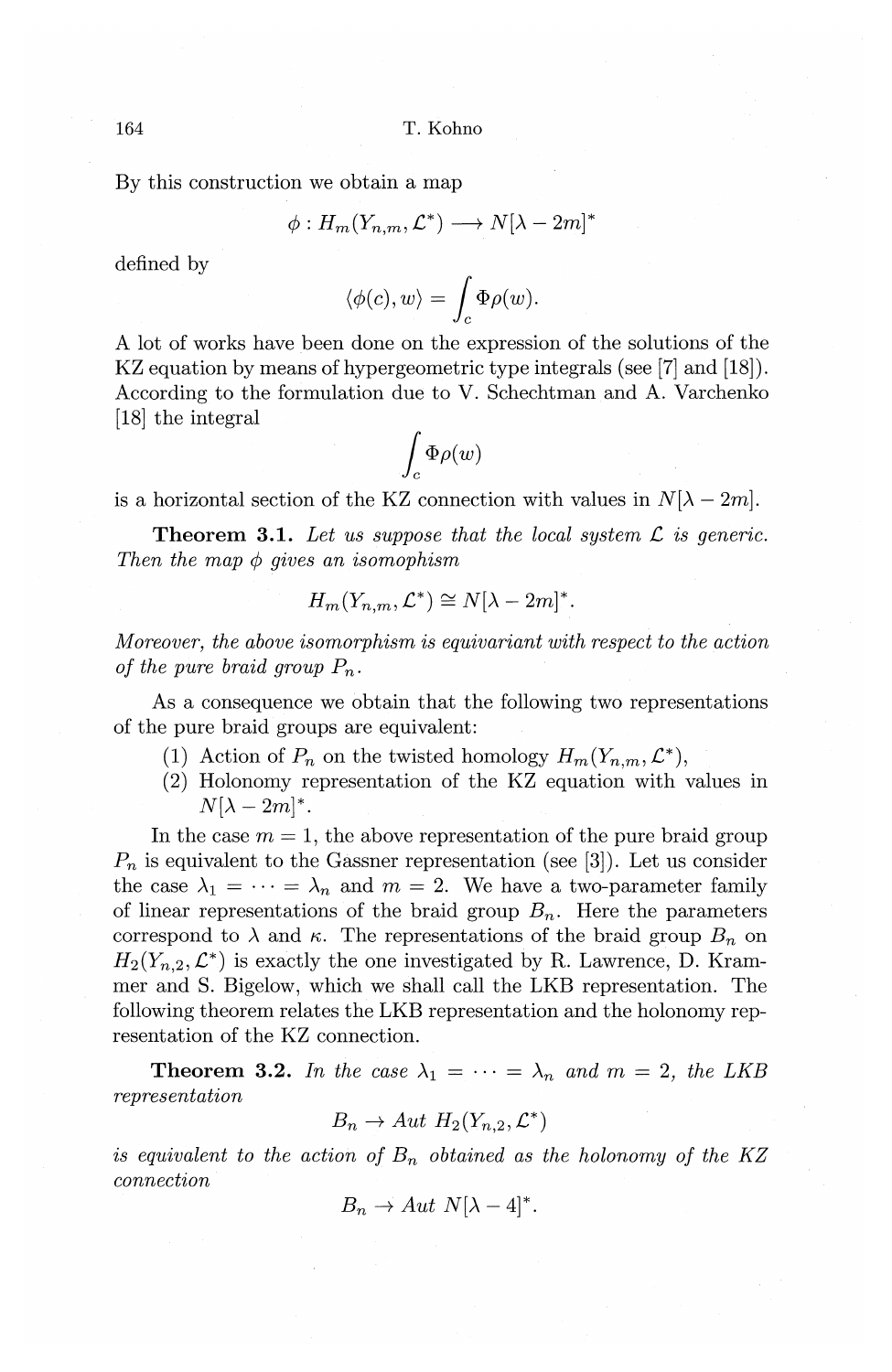By this construction we obtain a map

$$
\phi: H_m(Y_{n,m}, \mathcal{L}^*) \longrightarrow N[\lambda - 2m]^*
$$

defined by

$$
\langle \phi(c), w \rangle = \int_c \Phi \rho(w).
$$

A lot of works have been done on the expression of the solutions of the KZ equation by means of hypergeometric type integrals (see [7] and [18]). According to the formulation due to V. Schechtman and A. Varchenko [18] the integral  $\int_c \Phi \rho(w)$ 

$$
\int_c \Phi \rho(w)
$$

is a horizontal section of the KZ connection with values in  $N[\lambda-2m]$ .

**Theorem 3.1.** Let us suppose that the local system  $\mathcal{L}$  is generic. *Then the map* ¢ *gives an isomophism* 

$$
H_m(Y_{n,m}, \mathcal{L}^*) \cong N[\lambda - 2m]^*.
$$

*Moreover, the above isomorphism is equivariant with respect to the action of the pure braid group*  $P_n$ .

As a consequence we obtain that the following two representations of the pure braid groups are equivalent:

- (1) Action of  $P_n$  on the twisted homology  $H_m(Y_{n,m}, \mathcal{L}^*),$
- (2) Holonomy representation of the KZ equation with values in  $N[\lambda-2m]^*$ .

In the case  $m = 1$ , the above representation of the pure braid group  $P_n$  is equivalent to the Gassner representation (see [3]). Let us consider the case  $\lambda_1 = \cdots = \lambda_n$  and  $m = 2$ . We have a two-parameter family of linear representations of the braid group  $B_n$ . Here the parameters correspond to  $\lambda$  and  $\kappa$ . The representations of the braid group  $B_n$  on  $H_2(Y_{n,2}, \mathcal{L}^*)$  is exactly the one investigated by R. Lawrence, D. Krammer and S. Bigelow, which we shall call the LKB representation. The following theorem relates the LKB representation and the holonomy representation of the KZ connection.

**Theorem 3.2.** In the case  $\lambda_1 = \cdots = \lambda_n$  and  $m = 2$ , the LKB *representation* 

$$
B_n \to Aut H_2(Y_{n,2}, \mathcal{L}^*)
$$

*is equivalent to the action of*  $B_n$  *obtained as the holonomy of the KZ connection* 

 $B_n \to Aut \ N[\lambda-4]^*.$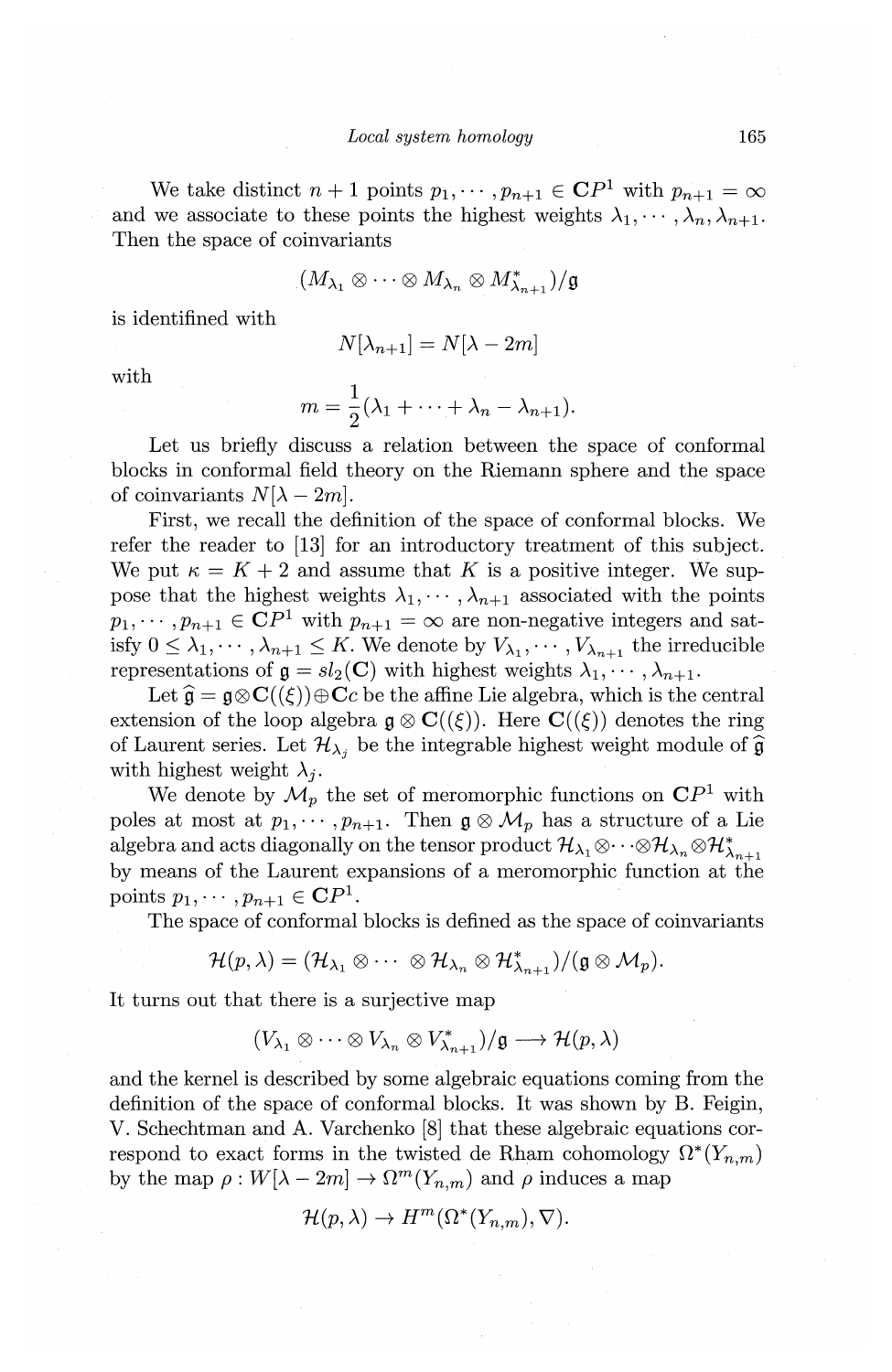We take distinct  $n+1$  points  $p_1, \dots, p_{n+1} \in \mathbb{C}P^1$  with  $p_{n+1} = \infty$ and we associate to these points the highest weights  $\lambda_1, \dots, \lambda_n, \lambda_{n+1}$ . Then the space of coinvariants

$$
(M_{\lambda_1}\otimes\cdots\otimes M_{\lambda_n}\otimes M_{\lambda_{n+1}}^*)/{\mathfrak g}
$$

is identifined with

$$
N[\lambda_{n+1}] = N[\lambda - 2m]
$$

with

$$
m=\frac{1}{2}(\lambda_1+\cdots+\lambda_n-\lambda_{n+1}).
$$

Let us briefly discuss a relation between the space of conformal blocks in conformal field theory on the Riemann sphere and the space of coinvariants  $N[\lambda-2m]$ .

First, we recall the definition of the space of conformal blocks. We refer the reader to [13] for an introductory treatment of this subject. We put  $\kappa = K + 2$  and assume that K is a positive integer. We suppose that the highest weights  $\lambda_1, \dots, \lambda_{n+1}$  associated with the points  $p_1, \dots, p_{n+1} \in \mathbb{C}P^1$  with  $p_{n+1} = \infty$  are non-negative integers and satisfy  $0 \leq \lambda_1, \cdots, \lambda_{n+1} \leq K$ . We denote by  $V_{\lambda_1}, \cdots, V_{\lambda_{n+1}}$  the irreducible representations of  $g = sl_2(\mathbf{C})$  with highest weights  $\lambda_1, \cdots, \lambda_{n+1}$ .

Let  $\hat{\mathfrak{g}} = \mathfrak{g} \otimes \mathbf{C}((\xi)) \oplus \mathbf{C}c$  be the affine Lie algebra, which is the central extension of the loop algebra  $\mathfrak{g} \otimes \mathbf{C}((\xi))$ . Here  $\mathbf{C}((\xi))$  denotes the ring of Laurent series. Let  $\mathcal{H}_{\lambda_j}$  be the integrable highest weight module of  $\widehat{\mathfrak{g}}$ with highest weight  $\lambda_i$ .

We denote by  $\mathcal{M}_p$  the set of meromorphic functions on  $\mathbb{C}P^1$  with poles at most at  $p_1, \dots, p_{n+1}$ . Then  $\mathfrak{g} \otimes \mathcal{M}_p$  has a structure of a Lie algebra and acts diagonally on the tensor product  $\mathcal{H}_{\lambda_1} \otimes \cdots \otimes \mathcal{H}_{\lambda_n} \otimes \mathcal{H}_{\lambda_{n+1}}^*$ by means of the Laurent expansions of a meromorphic function at the points  $p_1, \cdots, p_{n+1} \in \mathbb{C}P^1$ .

The space of conformal blocks is defined as the space of coinvariants

$$
\mathcal{H}(p,\lambda)=(\mathcal{H}_{\lambda_1}\otimes\cdots\otimes\mathcal{H}_{\lambda_n}\otimes\mathcal{H}_{\lambda_{n+1}}^*)/(\mathfrak{g}\otimes\mathcal{M}_p).
$$

It turns out that there is a surjective map

$$
(V_{\lambda_1} \otimes \cdots \otimes V_{\lambda_n} \otimes V_{\lambda_{n+1}}^*)/\mathfrak{g} \longrightarrow \mathcal{H}(p,\lambda)
$$

and the kernel is described by some algebraic equations coming from the definition of the space of conformal blocks. It was shown by B. Feigin, V. Schechtman and A. Varchenko [8] that these algebraic equations correspond to exact forms in the twisted de Rham cohomology  $\Omega^*(Y_{n,m})$ by the map  $\rho: W[\lambda-2m] \to \Omega^m(Y_{n,m})$  and  $\rho$  induces a map

$$
\mathcal{H}(p,\lambda) \to H^m(\Omega^*(Y_{n,m}), \nabla).
$$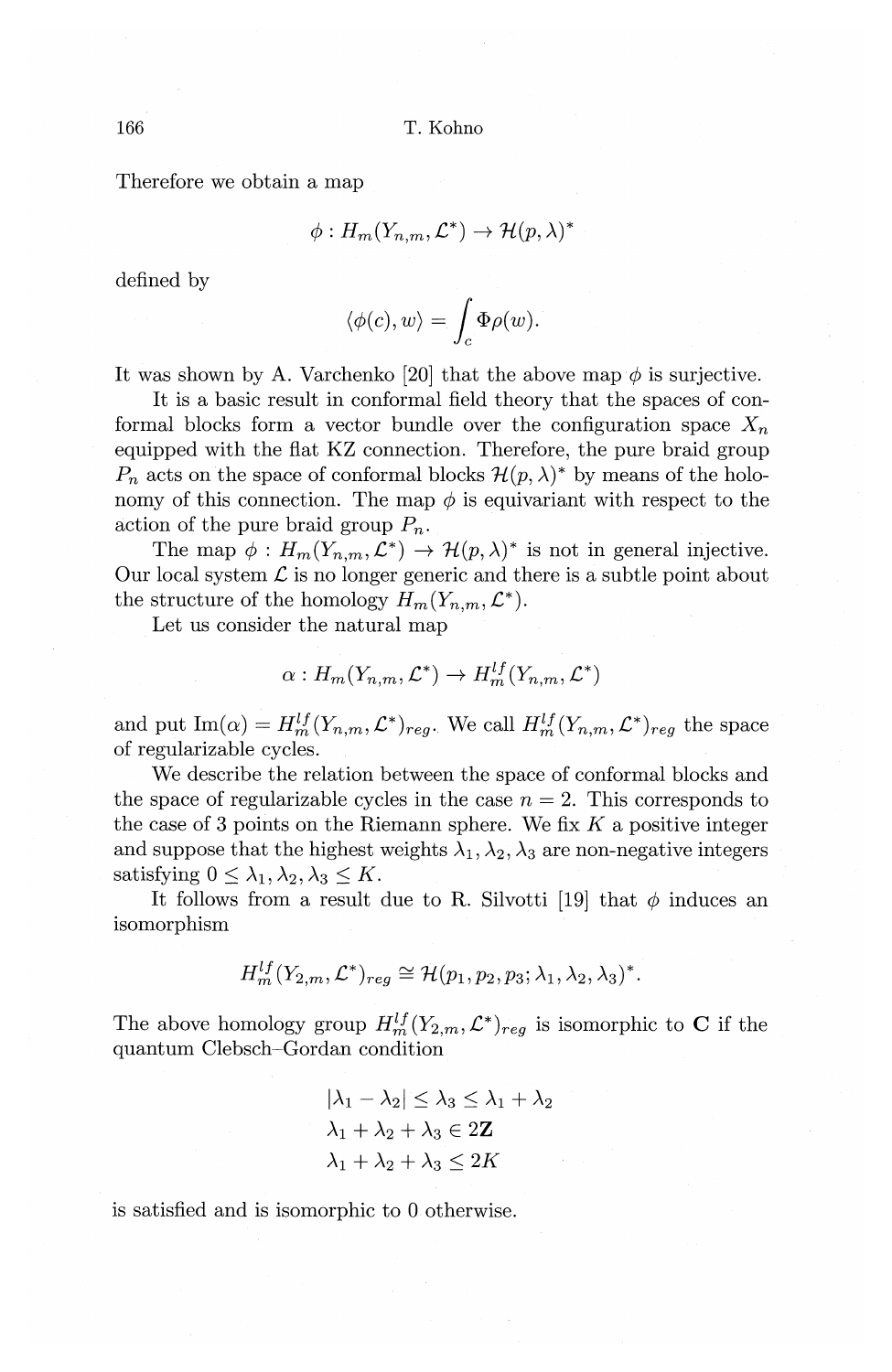Therefore we obtain a map

$$
\phi: H_m(Y_{n,m}, \mathcal{L}^*) \to \mathcal{H}(p, \lambda)^*
$$

defined by

$$
\langle \phi(c), w \rangle = \int_c \Phi \rho(w).
$$

It was shown by A. Varchenko [20] that the above map  $\phi$  is surjective.

It is a basic result in conformal field theory that the spaces of conformal blocks form a vector bundle over the configuration space  $X_n$ equipped with the flat KZ connection. Therefore, the pure braid group  $P_n$  acts on the space of conformal blocks  $\mathcal{H}(p,\lambda)^*$  by means of the holonomy of this connection. The map  $\phi$  is equivariant with respect to the action of the pure braid group *Pn.* 

The map  $\phi: H_m(Y_{n,m}, \mathcal{L}^*) \to \mathcal{H}(p, \lambda)^*$  is not in general injective. Our local system  $\mathcal L$  is no longer generic and there is a subtle point about the structure of the homology  $H_m(Y_{n,m}, \mathcal{L}^*)$ .

Let us consider the natural map

$$
\alpha: H_m(Y_{n,m}, \mathcal{L}^*) \to H_m^{lf}(Y_{n,m}, \mathcal{L}^*)
$$

and put  $\text{Im}(\alpha) = H_m^{lf}(Y_{n,m}, \mathcal{L}^*)_{reg}$ . We call  $H_m^{lf}(Y_{n,m}, \mathcal{L}^*)_{reg}$  the space of regularizable cycles.

We describe the relation between the space of conformal blocks and the space of regularizable cycles in the case  $n = 2$ . This corresponds to the case of 3 points on the Riemann sphere. We fix *K* a positive integer and suppose that the highest weights  $\lambda_1, \lambda_2, \lambda_3$  are non-negative integers satisfying  $0 \leq \lambda_1, \lambda_2, \lambda_3 \leq K$ .

It follows from a result due to R. Silvotti [19] that  $\phi$  induces an isomorphism

$$
H_m^{ij}(Y_{2,m}, \mathcal{L}^*)_{req} \cong \mathcal{H}(p_1, p_2, p_3; \lambda_1, \lambda_2, \lambda_3)^*.
$$

The above homology group  $H_m^{lf}(Y_{2,m}, \mathcal{L}^*)_{req}$  is isomorphic to **C** if the quantum Clebsch-Gordan condition

$$
|\lambda_1 - \lambda_2| \le \lambda_3 \le \lambda_1 + \lambda_2
$$
  

$$
\lambda_1 + \lambda_2 + \lambda_3 \in 2\mathbb{Z}
$$
  

$$
\lambda_1 + \lambda_2 + \lambda_3 \le 2K
$$

is satisfied and is isomorphic to 0 otherwise.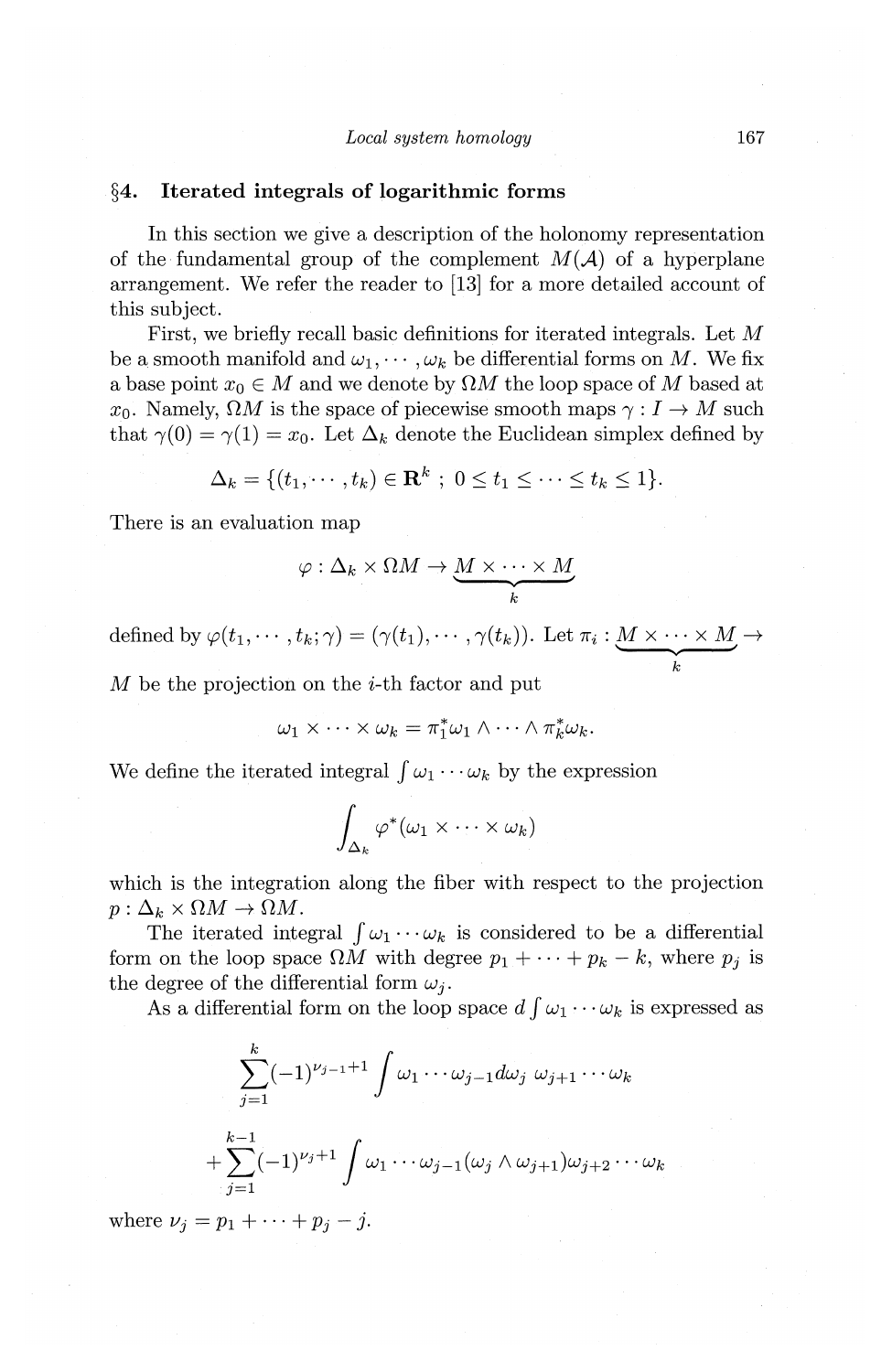## **§4. Iterated integrals of logarithmic forms**

In this section we give a description of the holonomy representation of the fundamental group of the complement  $M(A)$  of a hyperplane arrangement. We refer the reader to [13] for a more detailed account of this subject.

First, we briefly recall basic definitions for iterated integrals. Let *M*  be a smooth manifold and  $\omega_1, \dots, \omega_k$  be differential forms on M. We fix a base point  $x_0 \in M$  and we denote by  $\Omega M$  the loop space of M based at  $x_0$ . Namely,  $\Omega M$  is the space of piecewise smooth maps  $\gamma : I \to M$  such that  $\gamma(0) = \gamma(1) = x_0$ . Let  $\Delta_k$  denote the Euclidean simplex defined by

$$
\Delta_k = \{ (t_1, \cdots, t_k) \in \mathbf{R}^k ; 0 \le t_1 \le \cdots \le t_k \le 1 \}.
$$

There is an evaluation map

$$
\varphi : \Delta_k \times \Omega M \to \underbrace{M \times \cdots \times M}_{k}
$$

defined by  $\varphi(t_1, \dots, t_k; \gamma) = (\gamma(t_1), \dots, \gamma(t_k))$ . Let  $\pi_i : \underbrace{M \times \dots \times M}_{k} \to$ 

 $M$  be the projection on the *i*-th factor and put

$$
\omega_1 \times \cdots \times \omega_k = \pi_1^* \omega_1 \wedge \cdots \wedge \pi_k^* \omega_k.
$$

We define the iterated integral  $\int \omega_1 \cdots \omega_k$  by the expression

$$
\int_{\Delta_k} \varphi^*(\omega_1 \times \cdots \times \omega_k)
$$

which is the integration along the fiber with respect to the projection  $p: \Delta_k \times \Omega M \to \Omega M$ .

The iterated integral  $\int \omega_1 \cdots \omega_k$  is considered to be a differential form on the loop space  $\Omega M$  with degree  $p_1 + \cdots + p_k - k$ , where  $p_j$  is the degree of the differential form  $\omega_i$ .

As a differential form on the loop space  $d \int \omega_1 \cdots \omega_k$  is expressed as

$$
\sum_{j=1}^k (-1)^{\nu_{j-1}+1} \int \omega_1 \cdots \omega_{j-1} d\omega_j \omega_{j+1} \cdots \omega_k
$$
  
+
$$
\sum_{j=1}^{k-1} (-1)^{\nu_j+1} \int \omega_1 \cdots \omega_{j-1} (\omega_j \wedge \omega_{j+1}) \omega_{j+2} \cdots \omega_k
$$

where  $\nu_j = p_1 + \cdots + p_j - j$ .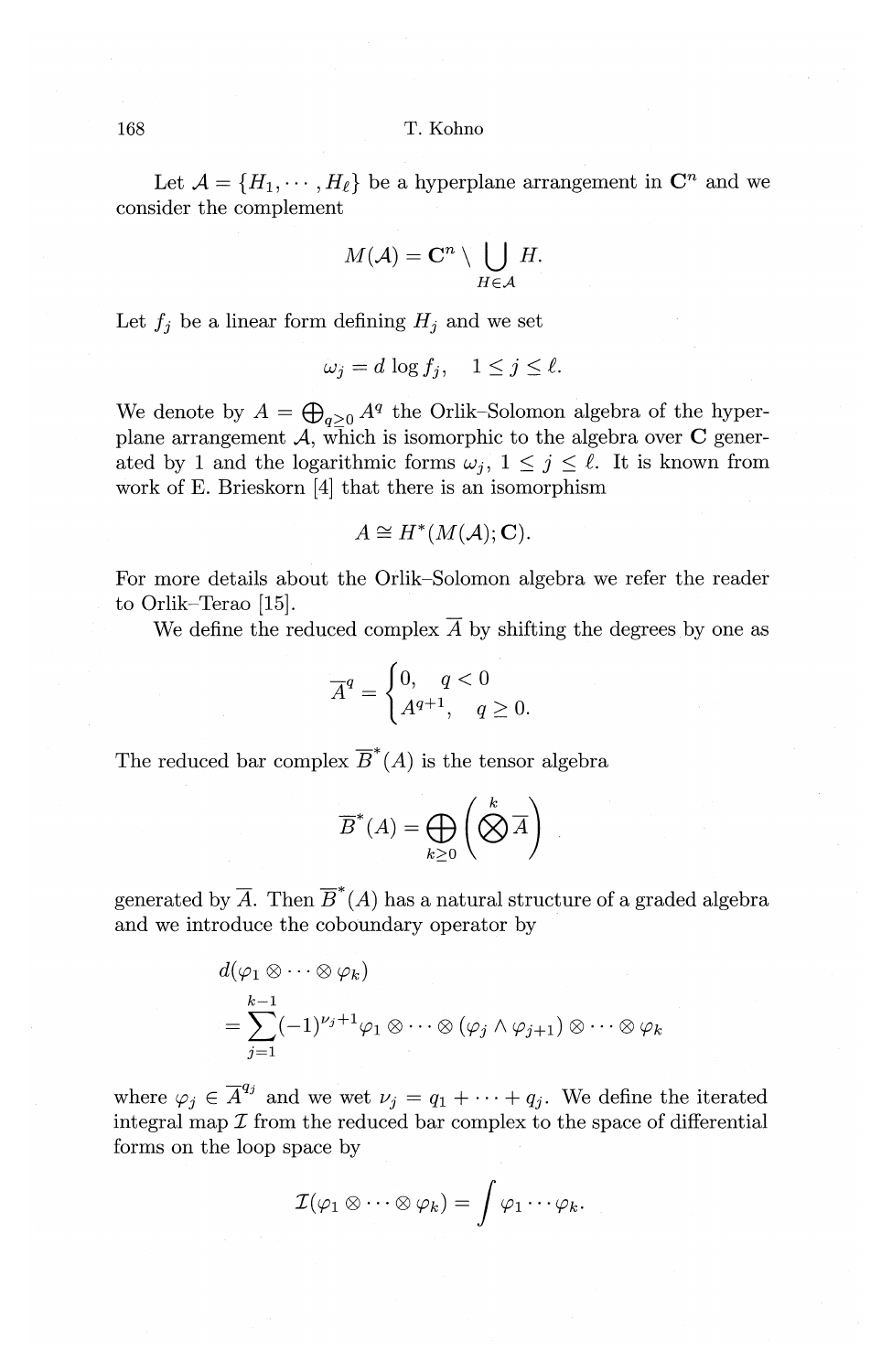Let  $\mathcal{A} = \{H_1, \dots, H_\ell\}$  be a hyperplane arrangement in  $\mathbb{C}^n$  and we consider the complement

$$
M(\mathcal{A})=\mathbf{C}^n\setminus \bigcup_{H\in\mathcal{A}}H.
$$

Let  $f_i$  be a linear form defining  $H_i$  and we set

$$
\omega_j = d \log f_j, \quad 1 \le j \le \ell.
$$

We denote by  $A = \bigoplus_{q>0} A^q$  the Orlik-Solomon algebra of the hyperplane arrangement  $\mathcal{A}$ , which is isomorphic to the algebra over  $C$  generated by 1 and the logarithmic forms  $\omega_j$ ,  $1 \leq j \leq \ell$ . It is known from work of E. Brieskorn [4] that there is an isomorphism

$$
A \cong H^*(M(\mathcal{A}); \mathbf{C}).
$$

For more details about the Orlik-Solomon algebra we refer the reader to Orlik-Terao [15].

We define the reduced complex  $\overline{A}$  by shifting the degrees by one as

$$
\overline{A}^q = \begin{cases} 0, & q < 0 \\ A^{q+1}, & q \ge 0. \end{cases}
$$

The reduced bar complex  $\overline{B}^*(A)$  is the tensor algebra

$$
\overline{B}^*(A) = \bigoplus_{k \ge 0} \left( \bigotimes^k \overline{A} \right)
$$

generated by  $\overline{A}$ . Then  $\overline{B}^*(A)$  has a natural structure of a graded algebra and we introduce the coboundary operator by

$$
d(\varphi_1 \otimes \cdots \otimes \varphi_k)
$$
  
= 
$$
\sum_{j=1}^{k-1} (-1)^{\nu_j+1} \varphi_1 \otimes \cdots \otimes (\varphi_j \wedge \varphi_{j+1}) \otimes \cdots \otimes \varphi_k
$$

where  $\varphi_j \in \overline{A}^{q_j}$  and we wet  $\nu_j = q_1 + \cdots + q_j$ . We define the iterated integral map  $\mathcal I$  from the reduced bar complex to the space of differential forms on the loop space by

$$
\mathcal{I}(\varphi_1\otimes\cdots\otimes\varphi_k)=\int\varphi_1\cdots\varphi_k.
$$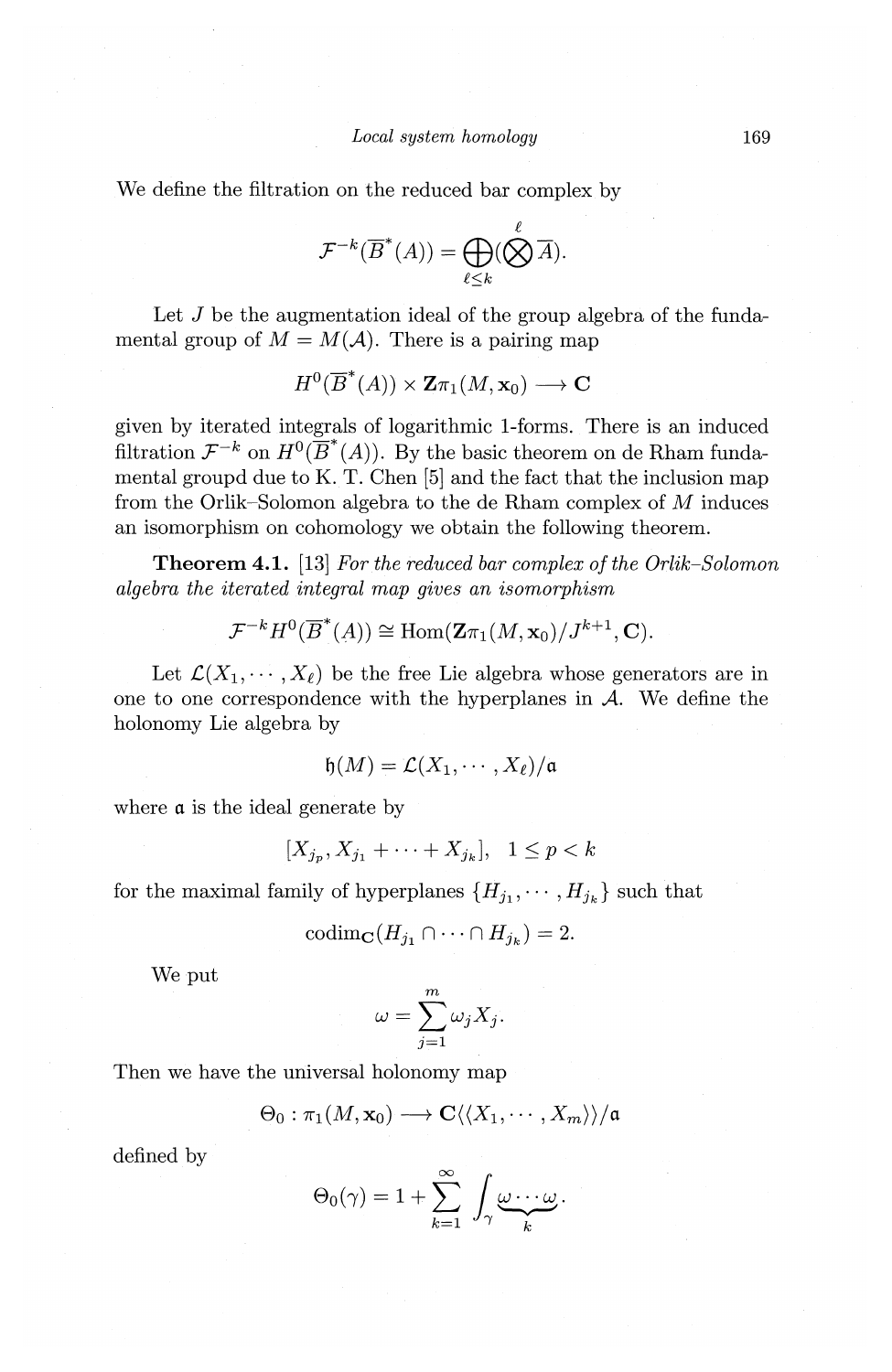We define the filtration on the reduced bar complex by

$$
\mathcal{F}^{-k}(\overline{B}^*(A)) = \bigoplus_{\ell \leq k} (\bigotimes^{\ell} \overline{A}).
$$

Let  $J$  be the augmentation ideal of the group algebra of the fundamental group of  $M = M(\mathcal{A})$ . There is a pairing map

$$
H^0(\overline{B}^*(A)) \times \mathbf{Z} \pi_1(M, \mathbf{x}_0) \longrightarrow \mathbf{C}
$$

given by iterated integrals of logarithmic 1-forms. There is an induced filtration  $\mathcal{F}^{-k}$  on  $H^0(\overline{B}^*(A))$ . By the basic theorem on de Rham fundamental groupd due to K. T. Chen [5] and the fact that the inclusion map from the Orlik-Solomon algebra to the de Rham complex of M induces an isomorphism on cohomology we obtain the following theorem.

**Theorem 4.1.** [13] *For the reduced bar complex of the Orlik-Solomon algebra the iterated integral map gives an isomorphism* 

$$
\mathcal{F}^{-k}H^0(\overline{B}^*(A)) \cong \text{Hom}(\mathbf{Z}\pi_1(M,\mathbf{x}_0)/J^{k+1},\mathbf{C}).
$$

Let  $\mathcal{L}(X_1, \dots, X_\ell)$  be the free Lie algebra whose generators are in one to one correspondence with the hyperplanes in *A.* We define the holonomy Lie algebra by

$$
\mathfrak{h}(M) = \mathcal{L}(X_1, \cdots, X_\ell)/\mathfrak{a}
$$

where **a** is the ideal generate by

$$
[X_{j_p}, X_{j_1} + \cdots + X_{j_k}], \quad 1 \le p < k
$$

for the maximal family of hyperplanes  $\{H_{j_1}, \cdots, H_{j_k}\}$  such that

$$
\mathrm{codim}_{\mathbf{C}}(H_{j_1} \cap \cdots \cap H_{j_k}) = 2.
$$

We put

$$
\omega = \sum_{j=1}^m \omega_j X_j.
$$

Then we have the universal holonomy map

$$
\Theta_0: \pi_1(M, \mathbf{x}_0) \longrightarrow \mathbf{C} \langle \langle X_1, \cdots, X_m \rangle \rangle / \mathfrak{a}
$$

defined by

$$
\Theta_0(\gamma) = 1 + \sum_{k=1}^{\infty} \int_{\gamma} \underbrace{\omega \cdots \omega}_{k}.
$$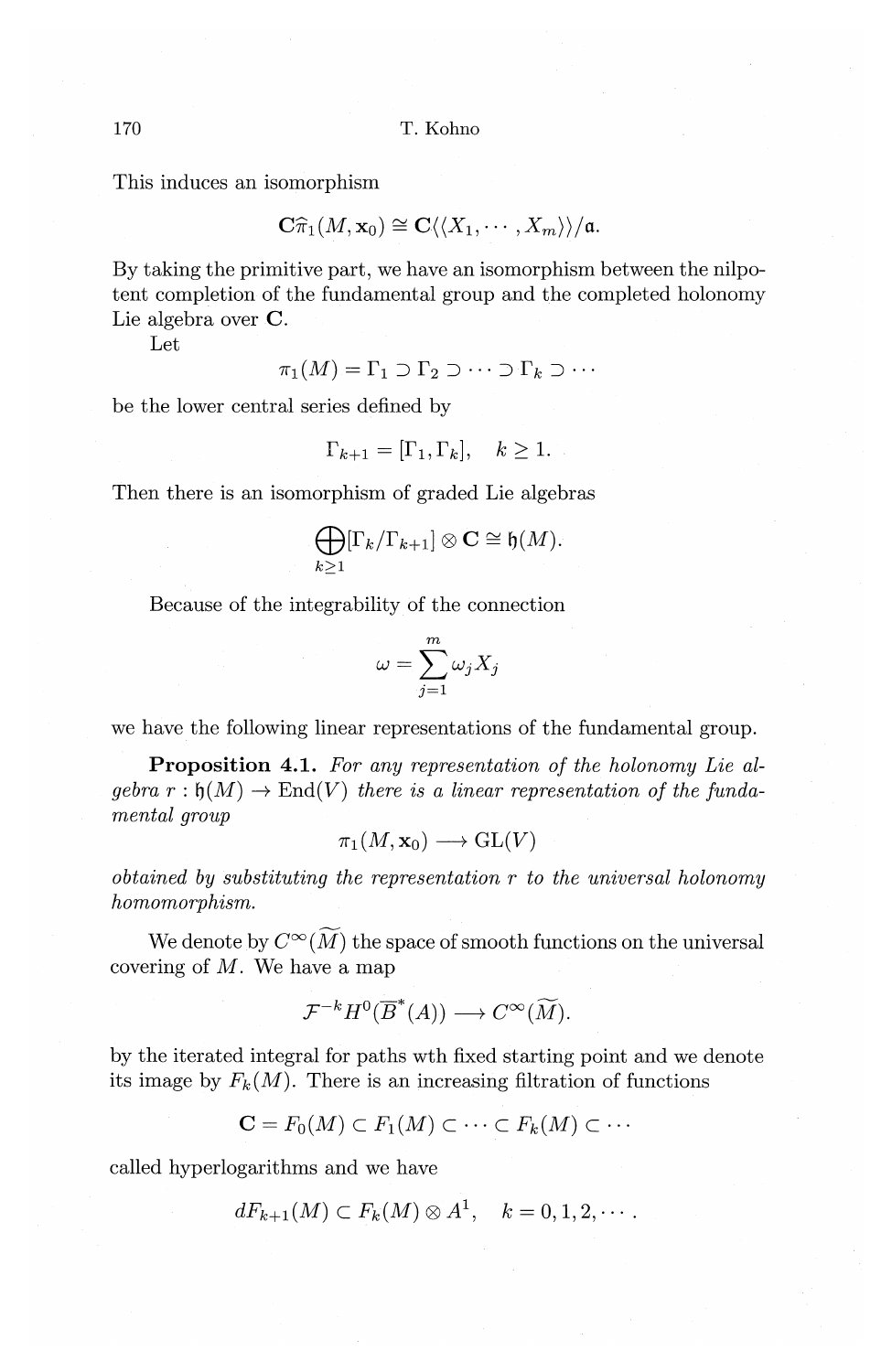This induces an isomorphism

$$
\mathbf{C}\widehat{\pi}_1(M, \mathbf{x}_0) \cong \mathbf{C}\langle\langle X_1, \cdots, X_m \rangle\rangle/\mathfrak{a}.
$$

By taking the primitive part, we have an isomorphism between the nilpotent completion of the fundamental group and the completed holonomy Lie algebra over C.

Let

$$
\pi_1(M) = \Gamma_1 \supset \Gamma_2 \supset \cdots \supset \Gamma_k \supset \cdots
$$

be the lower central series defined by

$$
\Gamma_{k+1} = [\Gamma_1, \Gamma_k], \quad k \ge 1.
$$

Then there is an isomorphism of graded Lie algebras

$$
\bigoplus_{k\geq 1} [\Gamma_k/\Gamma_{k+1}]\otimes \mathbf{C}\cong \mathfrak{h}(M).
$$

Because of the integrability of the connection

$$
\omega = \sum_{j=1}^m \omega_j X_j
$$

we have the following linear representations of the fundamental group.

**Proposition** 4.1. *For any representation of the holonomy Lie al* $gebra r: \mathfrak{h}(M) \to \text{End}(V)$  *there is a linear representation of the fundamental group* 

$$
\pi_1(M, \mathbf{x}_0) \longrightarrow \operatorname{GL}(V)
$$

*obtained by substituting the representation r to the universal holonomy homomorphism.* 

We denote by  $C^{\infty}(\widetilde{M})$  the space of smooth functions on the universal covering of  $M$ . We have a map

$$
\mathcal{F}^{-k}H^0(\overline{B}^*(A)) \longrightarrow C^{\infty}(\widetilde{M}).
$$

by the iterated integral for paths wth fixed starting point and we denote its image by  $F_k(M)$ . There is an increasing filtration of functions

$$
\mathbf{C} = F_0(M) \subset F_1(M) \subset \cdots \subset F_k(M) \subset \cdots
$$

called hyperlogarithms and we have

$$
dF_{k+1}(M) \subset F_k(M) \otimes A^1, \quad k=0,1,2,\cdots.
$$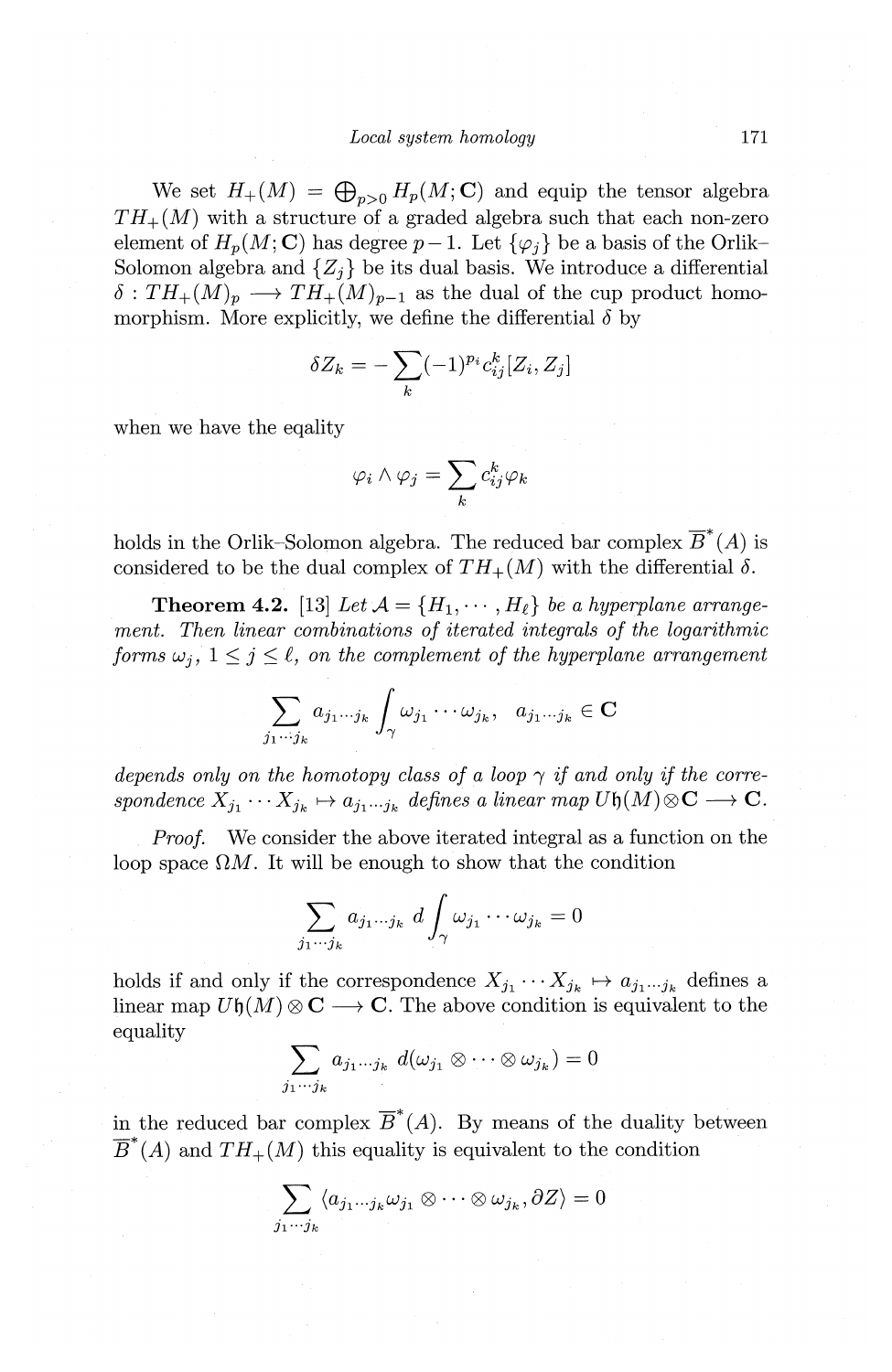We set  $H_+(M) = \bigoplus_{n>0} H_p(M; \mathbb{C})$  and equip the tensor algebra  $TH_{+}(M)$  with a structure of a graded algebra such that each non-zero element of  $H_p(M; \mathbf{C})$  has degree  $p-1$ . Let  $\{\varphi_j\}$  be a basis of the Orlik-Solomon algebra and  $\{Z_i\}$  be its dual basis. We introduce a differential  $\delta: TH_+(M)_p \longrightarrow TH_+(M)_{p-1}$  as the dual of the cup product homomorphism. More explicitly, we define the differential  $\delta$  by

$$
\delta Z_k = -\sum_k (-1)^{p_i} c_{ij}^k [Z_i, Z_j]
$$

when we have the eqality

$$
\varphi_i \wedge \varphi_j = \sum_k c_{ij}^k \varphi_k
$$

holds in the Orlik-Solomon algebra. The reduced bar complex  $\overline{B}^*(A)$  is considered to be the dual complex of  $TH_{+}(M)$  with the differential  $\delta$ .

**Theorem 4.2.** [13] Let  $\mathcal{A} = \{H_1, \dots, H_\ell\}$  be a hyperplane arrange*ment. Then linear combinations of iterated integrals of the logarithmic forms*  $\omega_i$ ,  $1 \leq j \leq \ell$ , *on the complement of the hyperplane arrangement* 

$$
\sum_{j_1\cdots j_k} a_{j_1\cdots j_k} \int_{\gamma} \omega_{j_1} \cdots \omega_{j_k}, \quad a_{j_1\cdots j_k} \in \mathbf{C}
$$

*depends only on the homotopy class of a loop*  $\gamma$  *if and only if the corre* $spondence X_{j_1} \cdots X_{j_k} \mapsto a_{j_1 \cdots j_k}$  defines a linear map  $U\mathfrak{h}(M) \otimes \mathbf{C} \longrightarrow \mathbf{C}$ .

*Proof.* We consider the above iterated integral as a function on the loop space  $\Omega M$ . It will be enough to show that the condition

$$
\sum_{j_1\cdots j_k} a_{j_1\cdots j_k} \ d \int_{\gamma} \omega_{j_1} \cdots \omega_{j_k} = 0
$$

holds if and only if the correspondence  $X_{j_1} \cdots X_{j_k} \mapsto a_{j_1 \cdots j_k}$  defines a linear map  $U\mathfrak{h}(M)\otimes\mathbf{C}\longrightarrow\mathbf{C}$ . The above condition is equivalent to the equality

$$
\sum_{j_1\cdots j_k} a_{j_1\cdots j_k} d(\omega_{j_1}\otimes \cdots \otimes \omega_{j_k})=0
$$

in the reduced bar complex  $\overline{B}^*(A)$ . By means of the duality between  $\overline{B}^*(A)$  and  $TH_+(M)$  this equality is equivalent to the condition

$$
\sum_{j_1\cdots j_k}\langle a_{j_1\cdots j_k}\omega_{j_1}\otimes\cdots\otimes\omega_{j_k},\partial Z\rangle=0
$$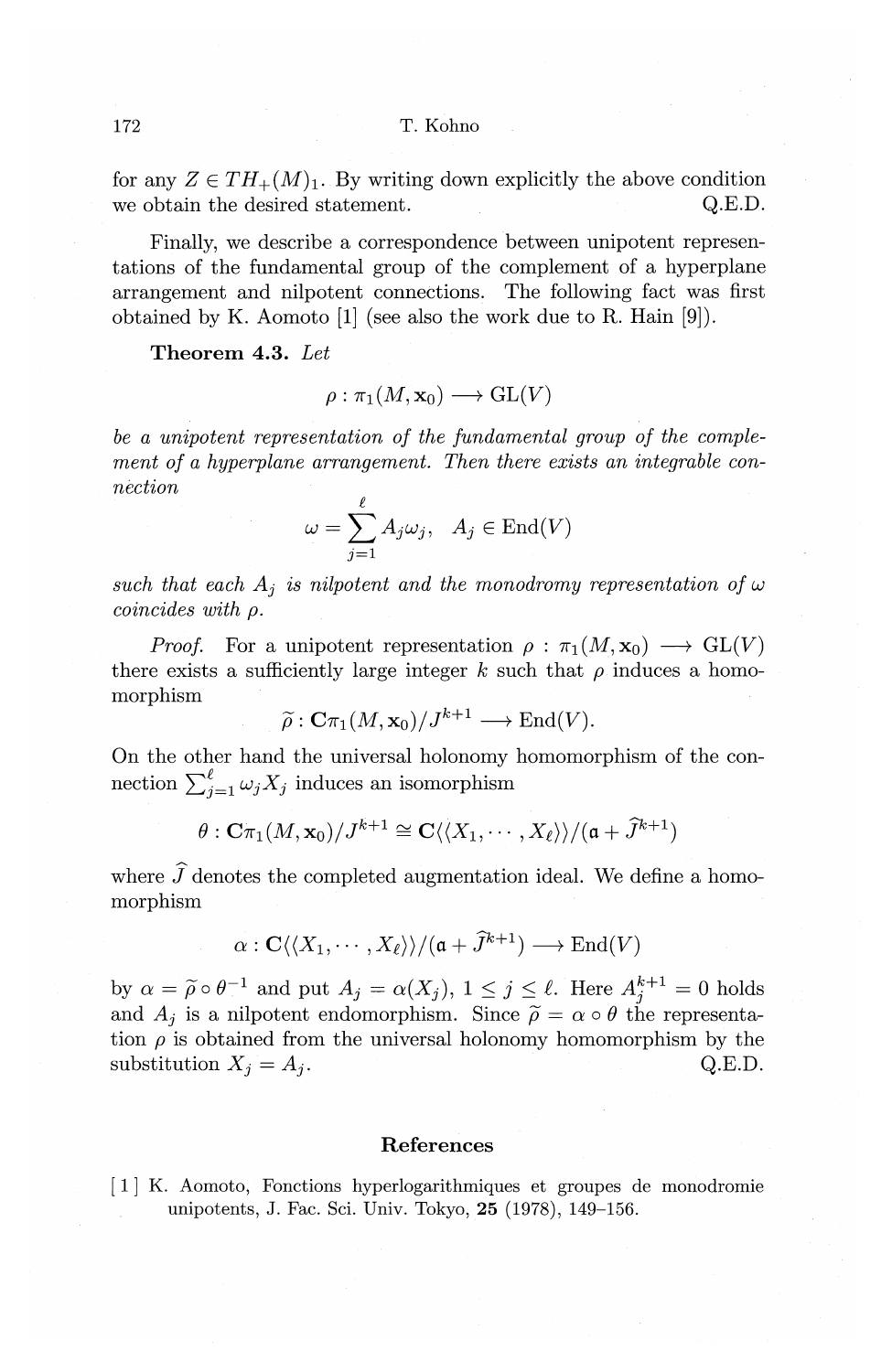for any  $Z \in TH_+(M)_1$ . By writing down explicitly the above condition we obtain the desired statement.  $Q.E.D.$ 

Finally, we describe a correspondence between unipotent representations of the fundamental group of the complement of a hyperplane arrangement and nilpotent connections. The following fact was first obtained by K. Aomoto  $[1]$  (see also the work due to R. Hain  $[9]$ ).

**Theorem 4.3.** *Let* 

$$
\rho: \pi_1(M,\mathbf{x}_0) \longrightarrow \operatorname{GL}(V)
$$

*be a unipotent representation of the fundamental group of the complement of a hyperplane arrangement. Then there exists an integrable connection* 

$$
\omega = \sum_{j=1}^{\ell} A_j \omega_j, \quad A_j \in \text{End}(V)
$$

such that each  $A_i$  *is nilpotent and the monodromy representation of*  $\omega$ *coincides with p.* 

*Proof.* For a unipotent representation  $\rho : \pi_1(M, \mathbf{x}_0) \longrightarrow GL(V)$ there exists a sufficiently large integer  $k$  such that  $\rho$  induces a homomorphism

$$
\widetilde{\rho}: \mathbf{C}\pi_1(M, \mathbf{x}_0)/J^{k+1} \longrightarrow \mathrm{End}(V).
$$

On the other hand the universal holonomy homomorphism of the connection  $\sum_{i=1}^{\ell} \omega_j X_j$  induces an isomorphism

$$
\theta: \mathbf{C}\pi_1(M, \mathbf{x}_0)/J^{k+1} \cong \mathbf{C}\langle\langle X_1, \cdots, X_\ell\rangle\rangle/(\mathfrak{a} + \widetilde{J}^{k+1})
$$

where  $\tilde{J}$  denotes the completed augmentation ideal. We define a homomorphism

$$
\alpha: \mathbf{C}\langle\langle X_1,\cdots,X_\ell\rangle\rangle/(\mathfrak{a}+\widehat{J}^{k+1})\longrightarrow \mathrm{End}(V)
$$

by  $\alpha = \widetilde{\rho} \circ \theta^{-1}$  and put  $A_j = \alpha(X_j)$ ,  $1 \leq j \leq \ell$ . Here  $A_j^{k+1} = 0$  holds and  $A_j$  is a nilpotent endomorphism. Since  $\tilde{\rho} = \alpha \circ \theta$  the representation  $\rho$  is obtained from the universal holonomy homomorphism by the substitution  $X_j = A_j$ . Q.E.D.

## **References**

[ 1] K. Aomoto, Fonctions hyperlogarithmiques et groupes de monodromie unipotents, J. Fac. Sci. Univ. Tokyo, **25** (1978), 149-156.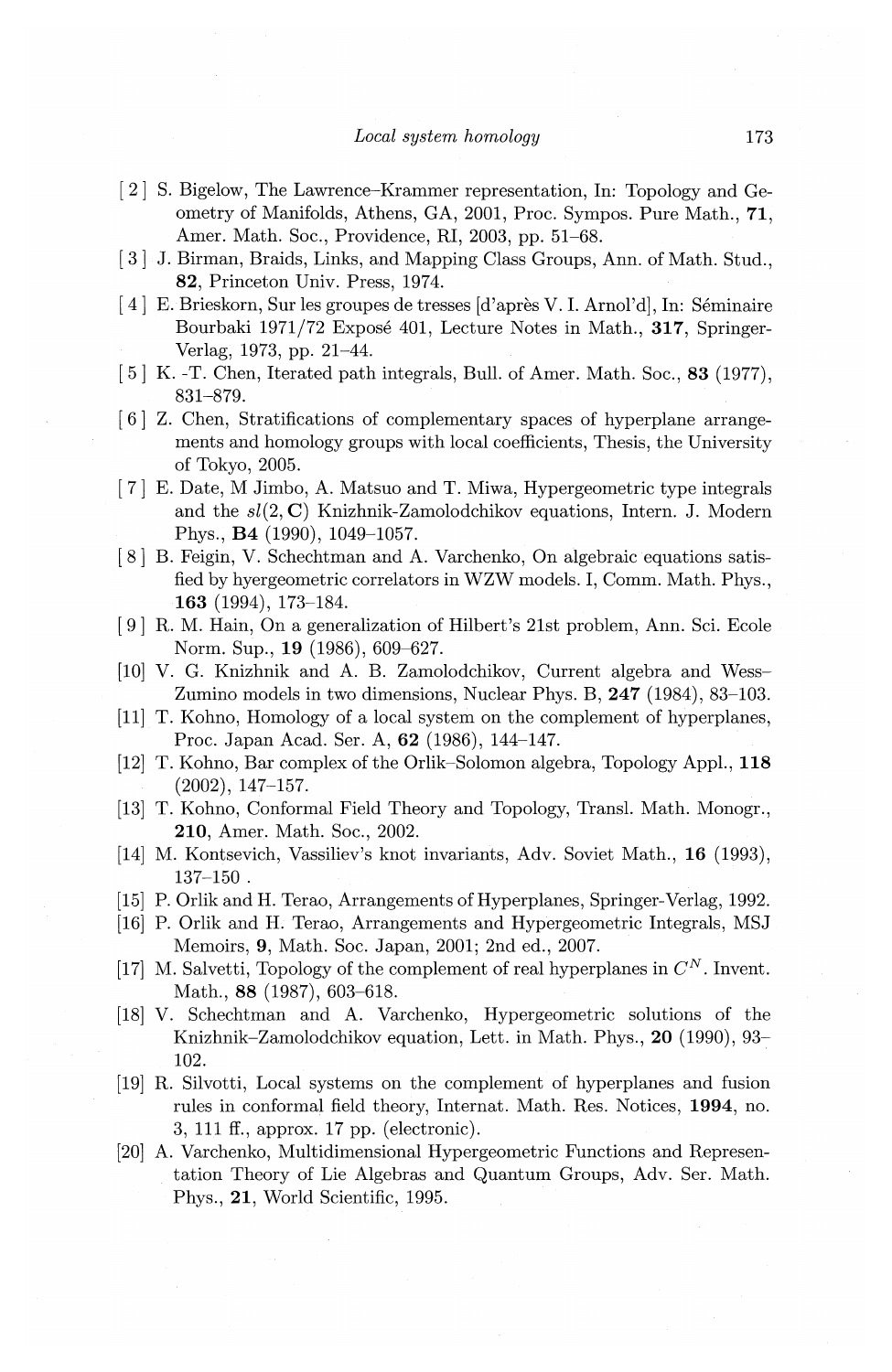- [ 2] S. Bigelow, The Lawrence-Krammer representation, In: Topology and Geometry of Manifolds, Athens, GA, 2001, Proc. Sympos. Pure Math., **71,**  Amer. Math. Soc., Providence, Rl, 2003, pp. 51-68.
- [3] J. Birman, Braids, Links, and Mapping Class Groups, Ann. of Math. Stud., **82,** Princeton Univ. Press, 1974.
- [4] E. Brieskorn, Sur les groupes de tresses [d'après V. I. Arnol'd], In: Séminaire Bourbaki 1971/72 Expose 401, Lecture Notes in Math., **317,** Springer-Verlag, 1973, pp. 21-44.
- [5] K. -T. Chen, Iterated path integrals, Bull. of Amer. Math. Soc., 83 (1977), 831-879.
- [ 6] Z. Chen, Stratifications of complementary spaces of hyperplane arrangements and homology groups with local coefficients, Thesis, the University of Tokyo, 2005.
- [ 7] E. Date, M Jimbo, A. Matsuo and T. Miwa, Hypergeometric type integrals and the *sl(2,* C) Knizhnik-Zamolodchikov equations, Intern. J. Modern Phys., **B4** (1990), 1049-1057.
- ( 8] B. Feigin, V. Schechtman and A. Varchenko, On algebraic equations satisfied by hyergeometric correlators in WZW models. I, Comm. Math. Phys., **163** (1994), 173-184.
- ( 9] R. M. Hain, On a generalization of Hilbert's 21st problem, Ann. Sci. Ecole Norm. Sup., **19** (1986), 609-627.
- (10] V. G. Knizhnik and A. B. Zamolodchikov, Current algebra and Wess-Zumino models in two dimensions, Nuclear Phys. B, **247** (1984), 83-103.
- (11] T. Kohno, Homology of a local system on the complement of hyperplanes, Proc. Japan Acad. Ser. A, **62** (1986), 144-147.
- (12] T. Kohno, Bar complex of the Orlik-Solomon algebra, Topology Appl., **118**  (2002), 147-157.
- (13] T. Kohno, Conformal Field Theory and Topology, Transl. Math. Monogr., **210,** Amer. Math. Soc., 2002.
- (14] M. Kontsevich, Vassiliev's knot invariants, Adv. Soviet Math., **16** (1993),  $137 - 150$ .
- (15] P. Orlik and H. Terao, Arrangements of Hyperplanes, Springer-Verlag, 1992.
- (16] P. Orlik and H. Terao, Arrangements and Hypergeometric Integrals, MSJ Memoirs, **9,** Math. Soc. Japan, 2001; 2nd ed., 2007.
- [17] M. Salvetti, Topology of the complement of real hyperplanes in  $C^N$ . Invent. Math., 88 (1987), 603-618.
- (18] V. Schechtman and A. Varchenko, Hypergeometric solutions of the Knizhnik-Zamolodchikov equation, Lett. in Math. Phys., **20** (1990), 93~ 102.
- (19] R. Silvotti, Local systems on the complement of hyperplanes and fusion rules in conformal field theory, Internat. Math. Res. Notices, **1994,** no. 3, 111 ff., approx. 17 pp. (electronic).
- (20] A. Varchenko, Multidimensional Hypergeometric Functions and Representation Theory of Lie Algebras and Quantum Groups, Adv. Ser. Math. Phys., **21,** World Scientific, 1995.